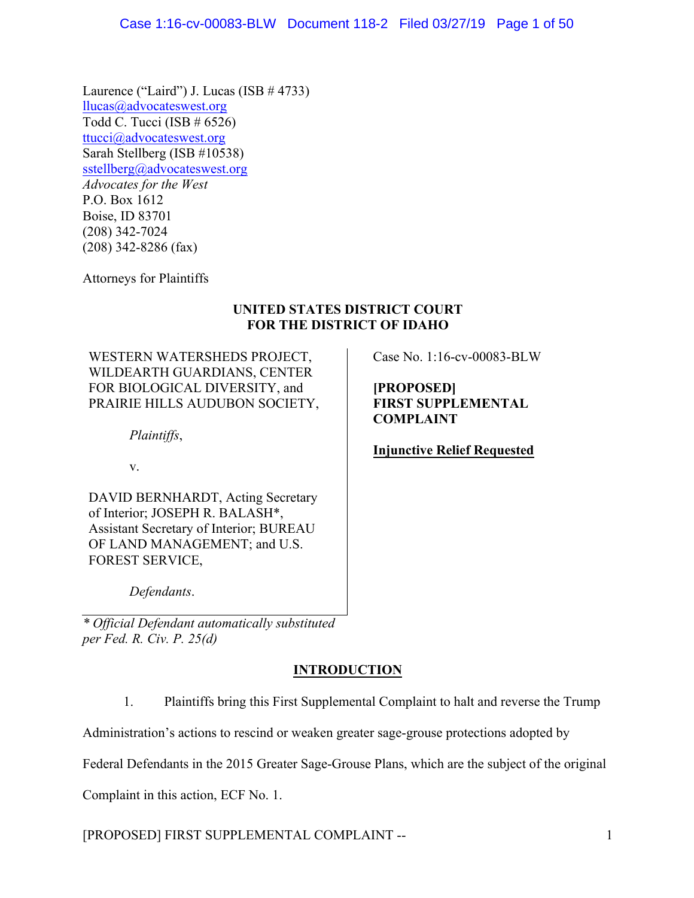Laurence ("Laird") J. Lucas (ISB  $\#$  4733) llucas@advocateswest.org Todd C. Tucci (ISB # 6526) ttucci@advocateswest.org Sarah Stellberg (ISB #10538) sstellberg@advocateswest.org *Advocates for the West* P.O. Box 1612 Boise, ID 83701 (208) 342-7024 (208) 342-8286 (fax)

Attorneys for Plaintiffs

# **UNITED STATES DISTRICT COURT FOR THE DISTRICT OF IDAHO**

WESTERN WATERSHEDS PROJECT, WILDEARTH GUARDIANS, CENTER FOR BIOLOGICAL DIVERSITY, and PRAIRIE HILLS AUDUBON SOCIETY,

*Plaintiffs*,

v.

DAVID BERNHARDT, Acting Secretary of Interior; JOSEPH R. BALASH\*, Assistant Secretary of Interior; BUREAU OF LAND MANAGEMENT; and U.S. FOREST SERVICE,

*Defendants*.

*\* Official Defendant automatically substituted per Fed. R. Civ. P. 25(d)*

# **INTRODUCTION**

1. Plaintiffs bring this First Supplemental Complaint to halt and reverse the Trump

Administration's actions to rescind or weaken greater sage-grouse protections adopted by

Federal Defendants in the 2015 Greater Sage-Grouse Plans, which are the subject of the original

Complaint in this action, ECF No. 1.

[PROPOSED] FIRST SUPPLEMENTAL COMPLAINT -- 1

Case No. 1:16-cv-00083-BLW

**[PROPOSED] FIRST SUPPLEMENTAL COMPLAINT**

**Injunctive Relief Requested**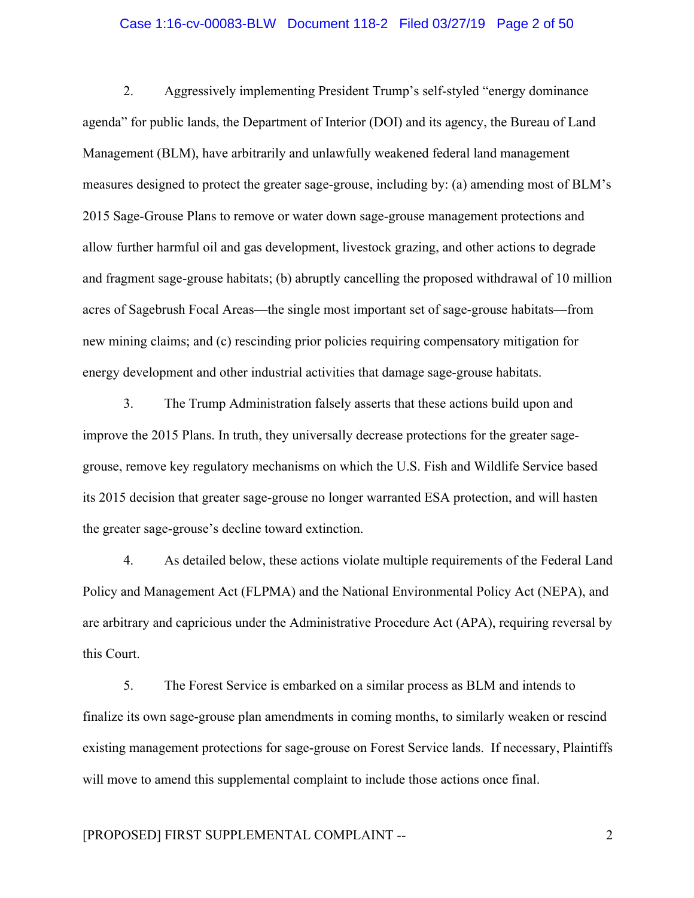#### Case 1:16-cv-00083-BLW Document 118-2 Filed 03/27/19 Page 2 of 50

2. Aggressively implementing President Trump's self-styled "energy dominance agenda" for public lands, the Department of Interior (DOI) and its agency, the Bureau of Land Management (BLM), have arbitrarily and unlawfully weakened federal land management measures designed to protect the greater sage-grouse, including by: (a) amending most of BLM's 2015 Sage-Grouse Plans to remove or water down sage-grouse management protections and allow further harmful oil and gas development, livestock grazing, and other actions to degrade and fragment sage-grouse habitats; (b) abruptly cancelling the proposed withdrawal of 10 million acres of Sagebrush Focal Areas—the single most important set of sage-grouse habitats—from new mining claims; and (c) rescinding prior policies requiring compensatory mitigation for energy development and other industrial activities that damage sage-grouse habitats.

3. The Trump Administration falsely asserts that these actions build upon and improve the 2015 Plans. In truth, they universally decrease protections for the greater sagegrouse, remove key regulatory mechanisms on which the U.S. Fish and Wildlife Service based its 2015 decision that greater sage-grouse no longer warranted ESA protection, and will hasten the greater sage-grouse's decline toward extinction.

4. As detailed below, these actions violate multiple requirements of the Federal Land Policy and Management Act (FLPMA) and the National Environmental Policy Act (NEPA), and are arbitrary and capricious under the Administrative Procedure Act (APA), requiring reversal by this Court.

5. The Forest Service is embarked on a similar process as BLM and intends to finalize its own sage-grouse plan amendments in coming months, to similarly weaken or rescind existing management protections for sage-grouse on Forest Service lands. If necessary, Plaintiffs will move to amend this supplemental complaint to include those actions once final.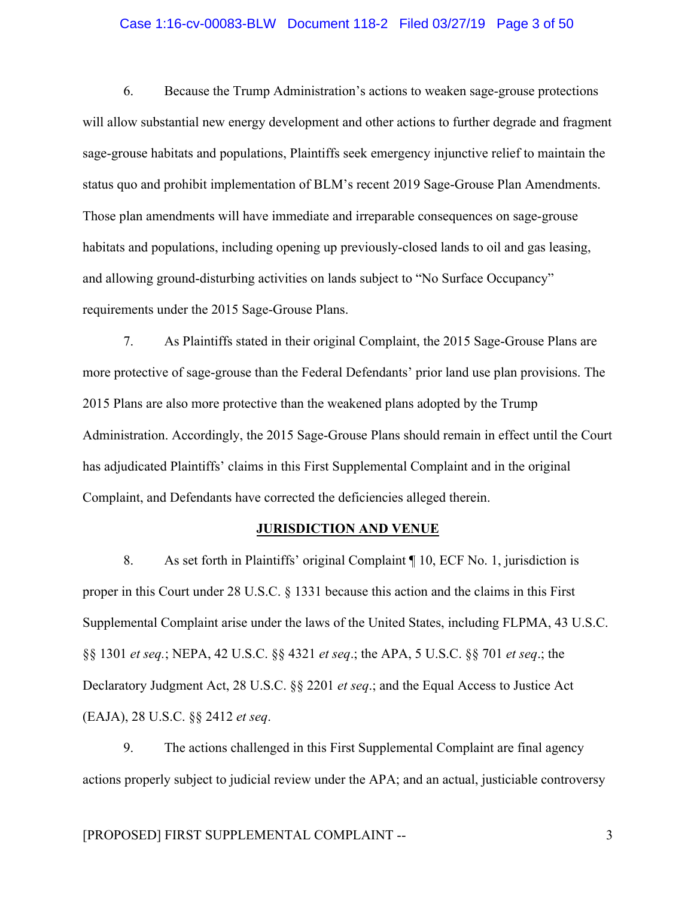#### Case 1:16-cv-00083-BLW Document 118-2 Filed 03/27/19 Page 3 of 50

6. Because the Trump Administration's actions to weaken sage-grouse protections will allow substantial new energy development and other actions to further degrade and fragment sage-grouse habitats and populations, Plaintiffs seek emergency injunctive relief to maintain the status quo and prohibit implementation of BLM's recent 2019 Sage-Grouse Plan Amendments. Those plan amendments will have immediate and irreparable consequences on sage-grouse habitats and populations, including opening up previously-closed lands to oil and gas leasing, and allowing ground-disturbing activities on lands subject to "No Surface Occupancy" requirements under the 2015 Sage-Grouse Plans.

7. As Plaintiffs stated in their original Complaint, the 2015 Sage-Grouse Plans are more protective of sage-grouse than the Federal Defendants' prior land use plan provisions. The 2015 Plans are also more protective than the weakened plans adopted by the Trump Administration. Accordingly, the 2015 Sage-Grouse Plans should remain in effect until the Court has adjudicated Plaintiffs' claims in this First Supplemental Complaint and in the original Complaint, and Defendants have corrected the deficiencies alleged therein.

## **JURISDICTION AND VENUE**

8. As set forth in Plaintiffs' original Complaint ¶ 10, ECF No. 1, jurisdiction is proper in this Court under 28 U.S.C. § 1331 because this action and the claims in this First Supplemental Complaint arise under the laws of the United States, including FLPMA, 43 U.S.C. §§ 1301 *et seq.*; NEPA, 42 U.S.C. §§ 4321 *et seq*.; the APA, 5 U.S.C. §§ 701 *et seq*.; the Declaratory Judgment Act, 28 U.S.C. §§ 2201 *et seq*.; and the Equal Access to Justice Act (EAJA), 28 U.S.C. §§ 2412 *et seq*.

9. The actions challenged in this First Supplemental Complaint are final agency actions properly subject to judicial review under the APA; and an actual, justiciable controversy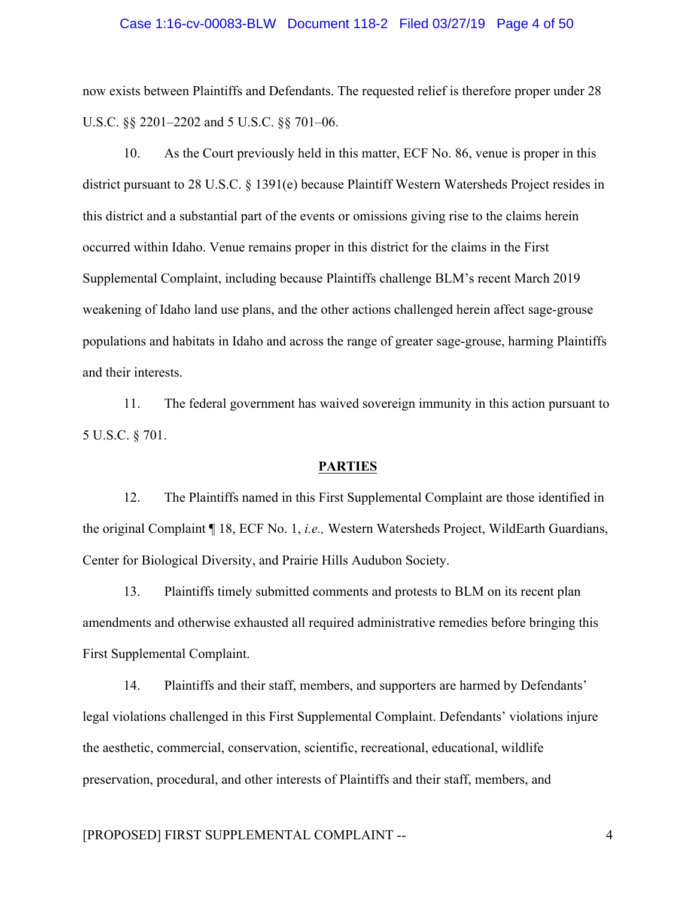#### Case 1:16-cv-00083-BLW Document 118-2 Filed 03/27/19 Page 4 of 50

now exists between Plaintiffs and Defendants. The requested relief is therefore proper under 28 U.S.C. §§ 2201–2202 and 5 U.S.C. §§ 701–06.

10. As the Court previously held in this matter, ECF No. 86, venue is proper in this district pursuant to 28 U.S.C. § 1391(e) because Plaintiff Western Watersheds Project resides in this district and a substantial part of the events or omissions giving rise to the claims herein occurred within Idaho. Venue remains proper in this district for the claims in the First Supplemental Complaint, including because Plaintiffs challenge BLM's recent March 2019 weakening of Idaho land use plans, and the other actions challenged herein affect sage-grouse populations and habitats in Idaho and across the range of greater sage-grouse, harming Plaintiffs and their interests.

11. The federal government has waived sovereign immunity in this action pursuant to 5 U.S.C. § 701.

## **PARTIES**

12. The Plaintiffs named in this First Supplemental Complaint are those identified in the original Complaint ¶ 18, ECF No. 1, *i.e.,* Western Watersheds Project, WildEarth Guardians, Center for Biological Diversity, and Prairie Hills Audubon Society.

13. Plaintiffs timely submitted comments and protests to BLM on its recent plan amendments and otherwise exhausted all required administrative remedies before bringing this First Supplemental Complaint.

14. Plaintiffs and their staff, members, and supporters are harmed by Defendants' legal violations challenged in this First Supplemental Complaint. Defendants' violations injure the aesthetic, commercial, conservation, scientific, recreational, educational, wildlife preservation, procedural, and other interests of Plaintiffs and their staff, members, and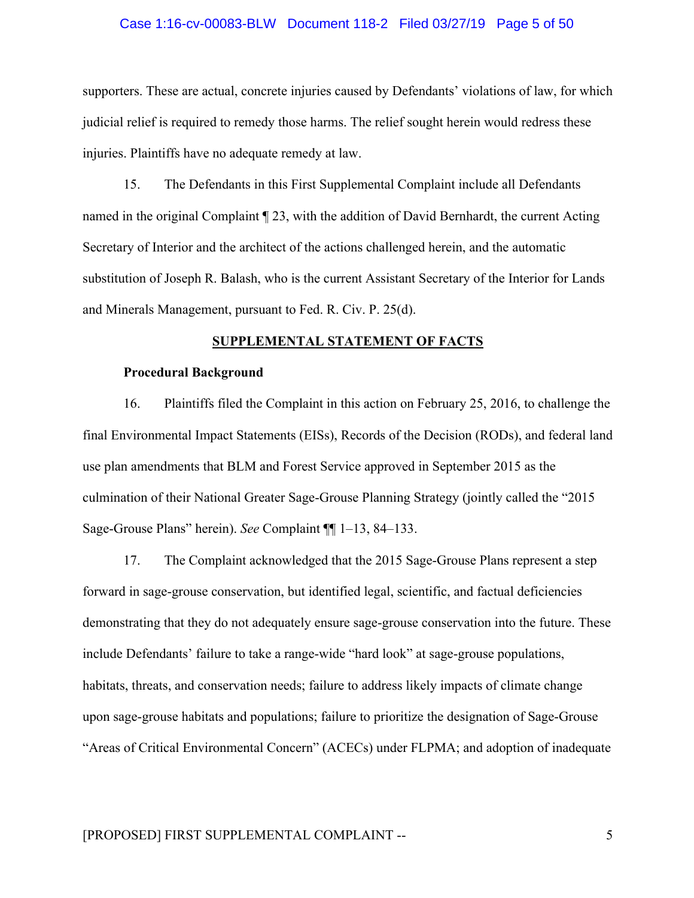#### Case 1:16-cv-00083-BLW Document 118-2 Filed 03/27/19 Page 5 of 50

supporters. These are actual, concrete injuries caused by Defendants' violations of law, for which judicial relief is required to remedy those harms. The relief sought herein would redress these injuries. Plaintiffs have no adequate remedy at law.

15. The Defendants in this First Supplemental Complaint include all Defendants named in the original Complaint ¶ 23, with the addition of David Bernhardt, the current Acting Secretary of Interior and the architect of the actions challenged herein, and the automatic substitution of Joseph R. Balash, who is the current Assistant Secretary of the Interior for Lands and Minerals Management, pursuant to Fed. R. Civ. P. 25(d).

#### **SUPPLEMENTAL STATEMENT OF FACTS**

#### **Procedural Background**

16. Plaintiffs filed the Complaint in this action on February 25, 2016, to challenge the final Environmental Impact Statements (EISs), Records of the Decision (RODs), and federal land use plan amendments that BLM and Forest Service approved in September 2015 as the culmination of their National Greater Sage-Grouse Planning Strategy (jointly called the "2015 Sage-Grouse Plans" herein). *See* Complaint ¶¶ 1–13, 84–133.

17. The Complaint acknowledged that the 2015 Sage-Grouse Plans represent a step forward in sage-grouse conservation, but identified legal, scientific, and factual deficiencies demonstrating that they do not adequately ensure sage-grouse conservation into the future. These include Defendants' failure to take a range-wide "hard look" at sage-grouse populations, habitats, threats, and conservation needs; failure to address likely impacts of climate change upon sage-grouse habitats and populations; failure to prioritize the designation of Sage-Grouse "Areas of Critical Environmental Concern" (ACECs) under FLPMA; and adoption of inadequate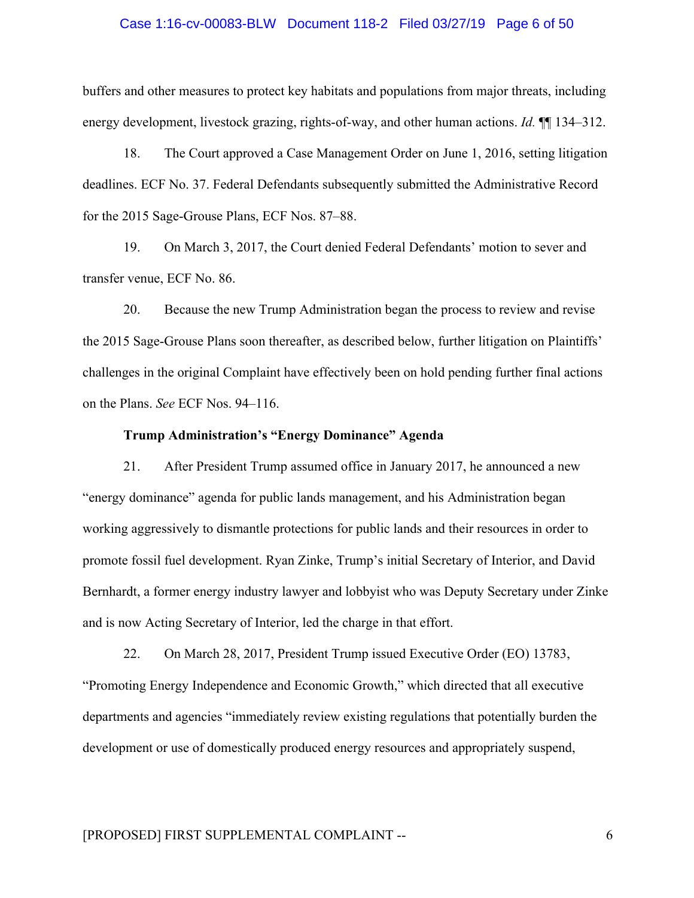#### Case 1:16-cv-00083-BLW Document 118-2 Filed 03/27/19 Page 6 of 50

buffers and other measures to protect key habitats and populations from major threats, including energy development, livestock grazing, rights-of-way, and other human actions. *Id.*  $\P$  134–312.

18. The Court approved a Case Management Order on June 1, 2016, setting litigation deadlines. ECF No. 37. Federal Defendants subsequently submitted the Administrative Record for the 2015 Sage-Grouse Plans, ECF Nos. 87–88.

19. On March 3, 2017, the Court denied Federal Defendants' motion to sever and transfer venue, ECF No. 86.

20. Because the new Trump Administration began the process to review and revise the 2015 Sage-Grouse Plans soon thereafter, as described below, further litigation on Plaintiffs' challenges in the original Complaint have effectively been on hold pending further final actions on the Plans. *See* ECF Nos. 94–116.

### **Trump Administration's "Energy Dominance" Agenda**

21. After President Trump assumed office in January 2017, he announced a new "energy dominance" agenda for public lands management, and his Administration began working aggressively to dismantle protections for public lands and their resources in order to promote fossil fuel development. Ryan Zinke, Trump's initial Secretary of Interior, and David Bernhardt, a former energy industry lawyer and lobbyist who was Deputy Secretary under Zinke and is now Acting Secretary of Interior, led the charge in that effort.

22. On March 28, 2017, President Trump issued Executive Order (EO) 13783, "Promoting Energy Independence and Economic Growth," which directed that all executive departments and agencies "immediately review existing regulations that potentially burden the development or use of domestically produced energy resources and appropriately suspend,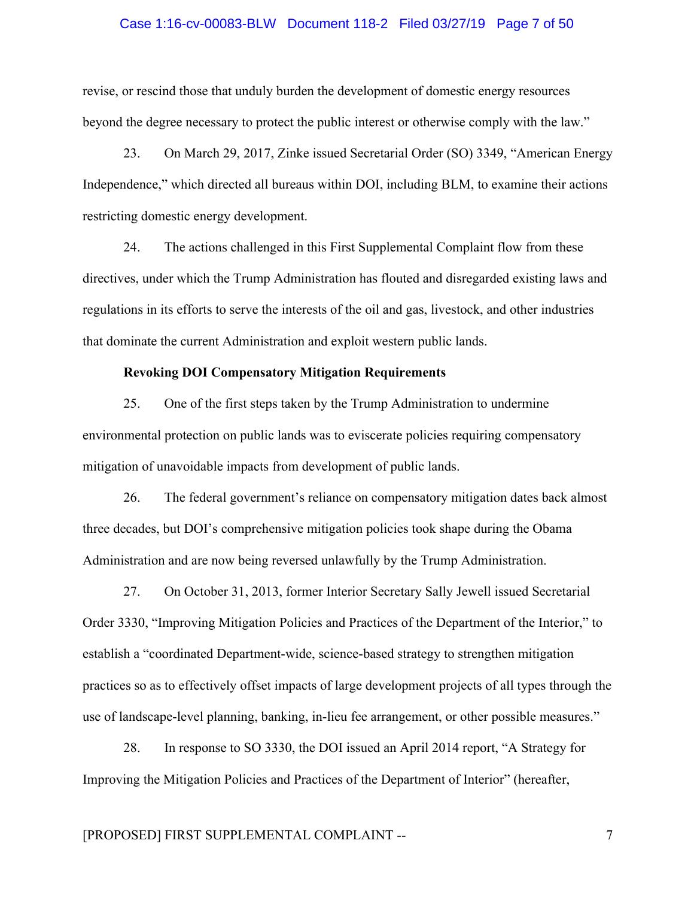#### Case 1:16-cv-00083-BLW Document 118-2 Filed 03/27/19 Page 7 of 50

revise, or rescind those that unduly burden the development of domestic energy resources beyond the degree necessary to protect the public interest or otherwise comply with the law."

23. On March 29, 2017, Zinke issued Secretarial Order (SO) 3349, "American Energy Independence," which directed all bureaus within DOI, including BLM, to examine their actions restricting domestic energy development.

24. The actions challenged in this First Supplemental Complaint flow from these directives, under which the Trump Administration has flouted and disregarded existing laws and regulations in its efforts to serve the interests of the oil and gas, livestock, and other industries that dominate the current Administration and exploit western public lands.

## **Revoking DOI Compensatory Mitigation Requirements**

25. One of the first steps taken by the Trump Administration to undermine environmental protection on public lands was to eviscerate policies requiring compensatory mitigation of unavoidable impacts from development of public lands.

26. The federal government's reliance on compensatory mitigation dates back almost three decades, but DOI's comprehensive mitigation policies took shape during the Obama Administration and are now being reversed unlawfully by the Trump Administration.

27. On October 31, 2013, former Interior Secretary Sally Jewell issued Secretarial Order 3330, "Improving Mitigation Policies and Practices of the Department of the Interior," to establish a "coordinated Department-wide, science-based strategy to strengthen mitigation practices so as to effectively offset impacts of large development projects of all types through the use of landscape-level planning, banking, in-lieu fee arrangement, or other possible measures."

28. In response to SO 3330, the DOI issued an April 2014 report, "A Strategy for Improving the Mitigation Policies and Practices of the Department of Interior" (hereafter,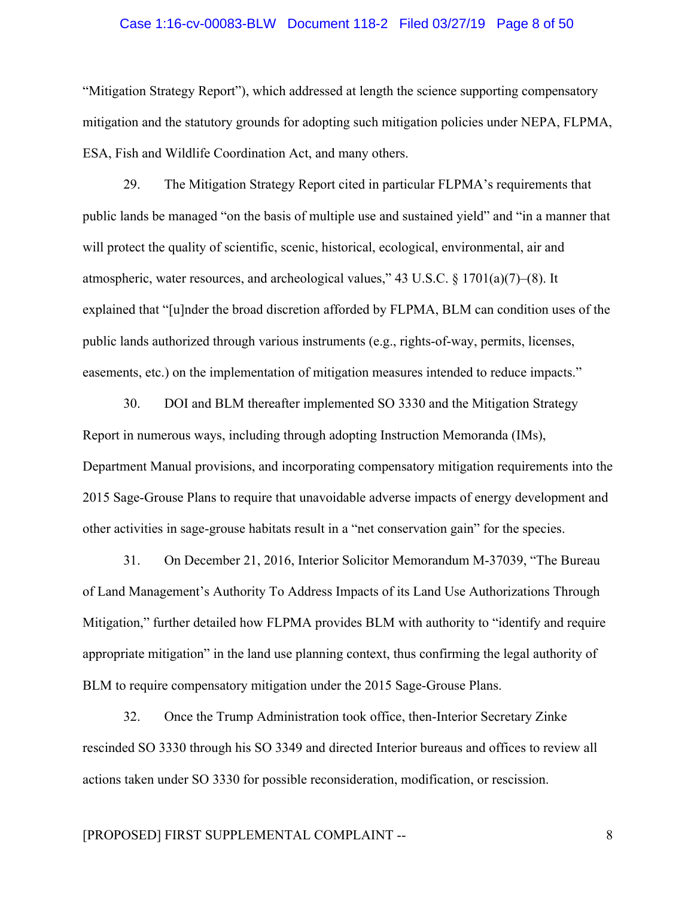#### Case 1:16-cv-00083-BLW Document 118-2 Filed 03/27/19 Page 8 of 50

"Mitigation Strategy Report"), which addressed at length the science supporting compensatory mitigation and the statutory grounds for adopting such mitigation policies under NEPA, FLPMA, ESA, Fish and Wildlife Coordination Act, and many others.

29. The Mitigation Strategy Report cited in particular FLPMA's requirements that public lands be managed "on the basis of multiple use and sustained yield" and "in a manner that will protect the quality of scientific, scenic, historical, ecological, environmental, air and atmospheric, water resources, and archeological values," 43 U.S.C. § 1701(a)(7)–(8). It explained that "[u]nder the broad discretion afforded by FLPMA, BLM can condition uses of the public lands authorized through various instruments (e.g., rights-of-way, permits, licenses, easements, etc.) on the implementation of mitigation measures intended to reduce impacts."

30. DOI and BLM thereafter implemented SO 3330 and the Mitigation Strategy Report in numerous ways, including through adopting Instruction Memoranda (IMs), Department Manual provisions, and incorporating compensatory mitigation requirements into the 2015 Sage-Grouse Plans to require that unavoidable adverse impacts of energy development and other activities in sage-grouse habitats result in a "net conservation gain" for the species.

31. On December 21, 2016, Interior Solicitor Memorandum M-37039, "The Bureau of Land Management's Authority To Address Impacts of its Land Use Authorizations Through Mitigation," further detailed how FLPMA provides BLM with authority to "identify and require appropriate mitigation" in the land use planning context, thus confirming the legal authority of BLM to require compensatory mitigation under the 2015 Sage-Grouse Plans.

32. Once the Trump Administration took office, then-Interior Secretary Zinke rescinded SO 3330 through his SO 3349 and directed Interior bureaus and offices to review all actions taken under SO 3330 for possible reconsideration, modification, or rescission.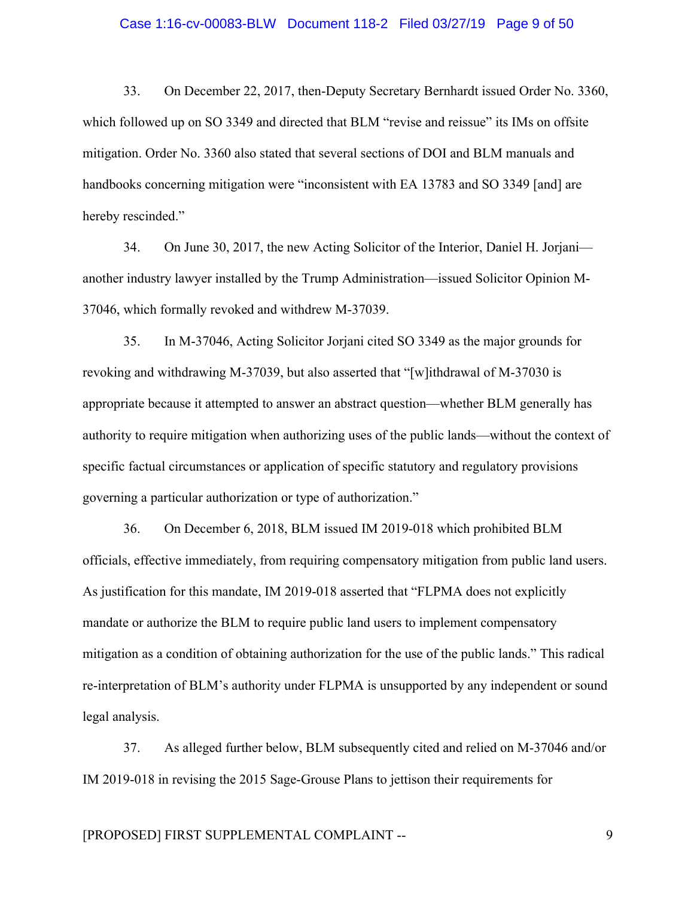#### Case 1:16-cv-00083-BLW Document 118-2 Filed 03/27/19 Page 9 of 50

33. On December 22, 2017, then-Deputy Secretary Bernhardt issued Order No. 3360, which followed up on SO 3349 and directed that BLM "revise and reissue" its IMs on offsite mitigation. Order No. 3360 also stated that several sections of DOI and BLM manuals and handbooks concerning mitigation were "inconsistent with EA 13783 and SO 3349 [and] are hereby rescinded."

34. On June 30, 2017, the new Acting Solicitor of the Interior, Daniel H. Jorjani another industry lawyer installed by the Trump Administration—issued Solicitor Opinion M-37046, which formally revoked and withdrew M-37039.

35. In M-37046, Acting Solicitor Jorjani cited SO 3349 as the major grounds for revoking and withdrawing M-37039, but also asserted that "[w]ithdrawal of M-37030 is appropriate because it attempted to answer an abstract question—whether BLM generally has authority to require mitigation when authorizing uses of the public lands—without the context of specific factual circumstances or application of specific statutory and regulatory provisions governing a particular authorization or type of authorization."

36. On December 6, 2018, BLM issued IM 2019-018 which prohibited BLM officials, effective immediately, from requiring compensatory mitigation from public land users. As justification for this mandate, IM 2019-018 asserted that "FLPMA does not explicitly mandate or authorize the BLM to require public land users to implement compensatory mitigation as a condition of obtaining authorization for the use of the public lands." This radical re-interpretation of BLM's authority under FLPMA is unsupported by any independent or sound legal analysis.

37. As alleged further below, BLM subsequently cited and relied on M-37046 and/or IM 2019-018 in revising the 2015 Sage-Grouse Plans to jettison their requirements for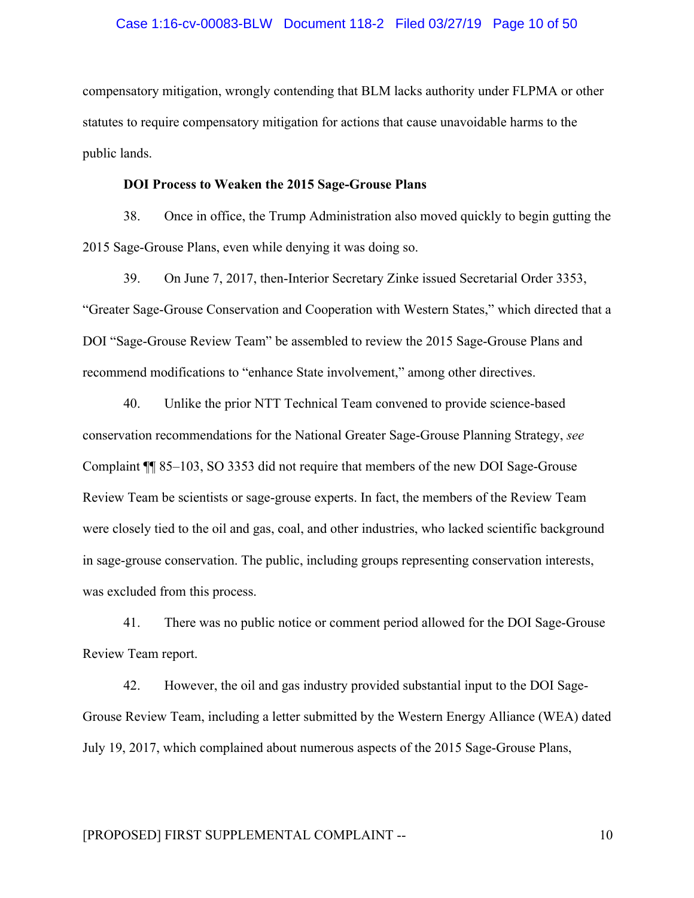#### Case 1:16-cv-00083-BLW Document 118-2 Filed 03/27/19 Page 10 of 50

compensatory mitigation, wrongly contending that BLM lacks authority under FLPMA or other statutes to require compensatory mitigation for actions that cause unavoidable harms to the public lands.

#### **DOI Process to Weaken the 2015 Sage-Grouse Plans**

38. Once in office, the Trump Administration also moved quickly to begin gutting the 2015 Sage-Grouse Plans, even while denying it was doing so.

39. On June 7, 2017, then-Interior Secretary Zinke issued Secretarial Order 3353, "Greater Sage-Grouse Conservation and Cooperation with Western States," which directed that a DOI "Sage-Grouse Review Team" be assembled to review the 2015 Sage-Grouse Plans and recommend modifications to "enhance State involvement," among other directives.

40. Unlike the prior NTT Technical Team convened to provide science-based conservation recommendations for the National Greater Sage-Grouse Planning Strategy, *see* Complaint ¶¶ 85–103, SO 3353 did not require that members of the new DOI Sage-Grouse Review Team be scientists or sage-grouse experts. In fact, the members of the Review Team were closely tied to the oil and gas, coal, and other industries, who lacked scientific background in sage-grouse conservation. The public, including groups representing conservation interests, was excluded from this process.

41. There was no public notice or comment period allowed for the DOI Sage-Grouse Review Team report.

42. However, the oil and gas industry provided substantial input to the DOI Sage-Grouse Review Team, including a letter submitted by the Western Energy Alliance (WEA) dated July 19, 2017, which complained about numerous aspects of the 2015 Sage-Grouse Plans,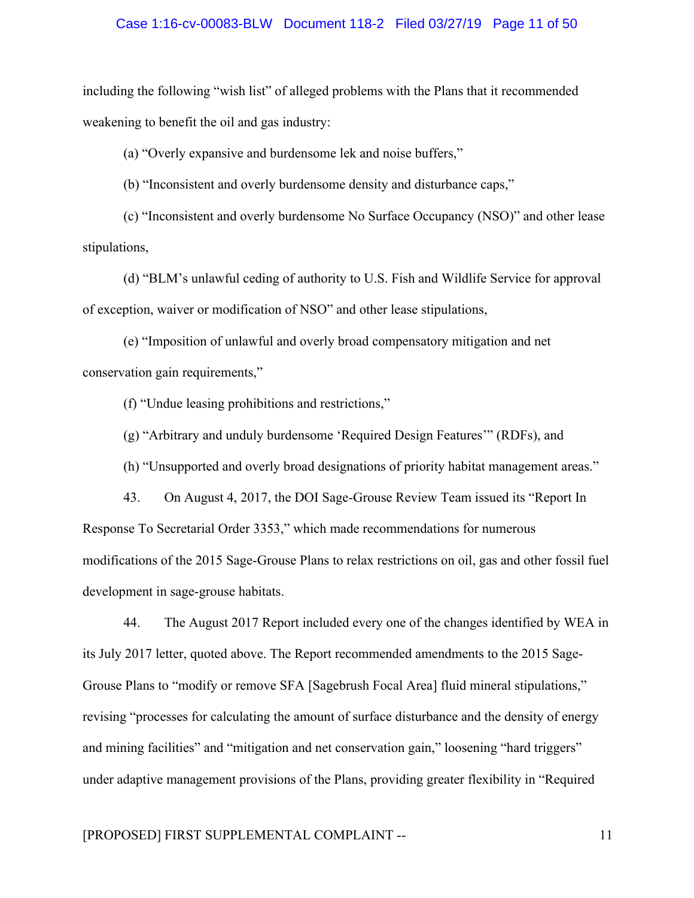#### Case 1:16-cv-00083-BLW Document 118-2 Filed 03/27/19 Page 11 of 50

including the following "wish list" of alleged problems with the Plans that it recommended weakening to benefit the oil and gas industry:

(a) "Overly expansive and burdensome lek and noise buffers,"

(b) "Inconsistent and overly burdensome density and disturbance caps,"

(c) "Inconsistent and overly burdensome No Surface Occupancy (NSO)" and other lease stipulations,

(d) "BLM's unlawful ceding of authority to U.S. Fish and Wildlife Service for approval of exception, waiver or modification of NSO" and other lease stipulations,

(e) "Imposition of unlawful and overly broad compensatory mitigation and net conservation gain requirements,"

(f) "Undue leasing prohibitions and restrictions,"

(g) "Arbitrary and unduly burdensome 'Required Design Features'" (RDFs), and

(h) "Unsupported and overly broad designations of priority habitat management areas."

43. On August 4, 2017, the DOI Sage-Grouse Review Team issued its "Report In Response To Secretarial Order 3353," which made recommendations for numerous modifications of the 2015 Sage-Grouse Plans to relax restrictions on oil, gas and other fossil fuel development in sage-grouse habitats.

44. The August 2017 Report included every one of the changes identified by WEA in its July 2017 letter, quoted above. The Report recommended amendments to the 2015 Sage-Grouse Plans to "modify or remove SFA [Sagebrush Focal Area] fluid mineral stipulations," revising "processes for calculating the amount of surface disturbance and the density of energy and mining facilities" and "mitigation and net conservation gain," loosening "hard triggers" under adaptive management provisions of the Plans, providing greater flexibility in "Required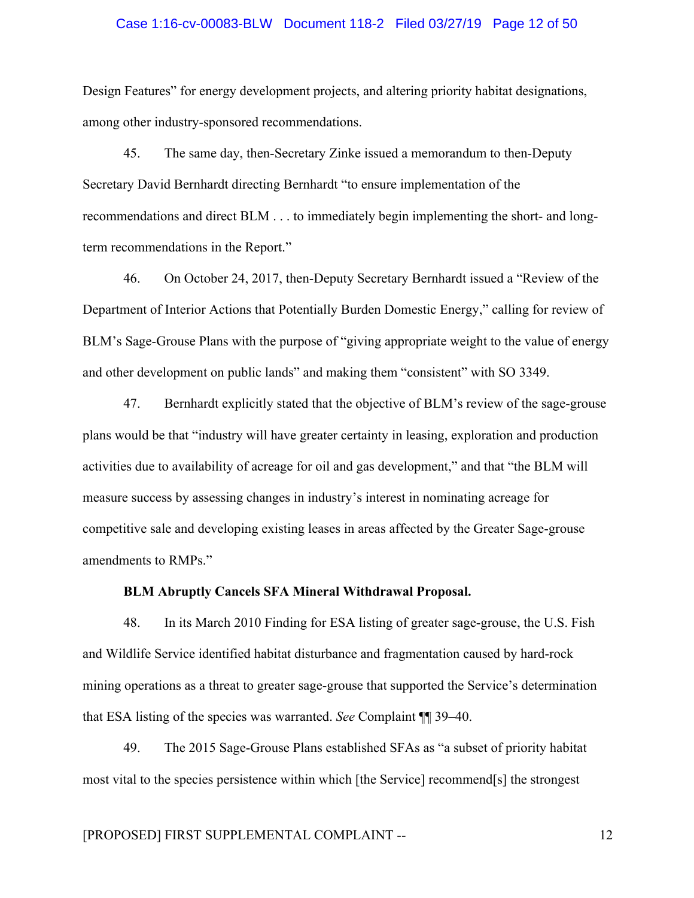#### Case 1:16-cv-00083-BLW Document 118-2 Filed 03/27/19 Page 12 of 50

Design Features" for energy development projects, and altering priority habitat designations, among other industry-sponsored recommendations.

45. The same day, then-Secretary Zinke issued a memorandum to then-Deputy Secretary David Bernhardt directing Bernhardt "to ensure implementation of the recommendations and direct BLM . . . to immediately begin implementing the short- and longterm recommendations in the Report."

46. On October 24, 2017, then-Deputy Secretary Bernhardt issued a "Review of the Department of Interior Actions that Potentially Burden Domestic Energy," calling for review of BLM's Sage-Grouse Plans with the purpose of "giving appropriate weight to the value of energy and other development on public lands" and making them "consistent" with SO 3349.

47. Bernhardt explicitly stated that the objective of BLM's review of the sage-grouse plans would be that "industry will have greater certainty in leasing, exploration and production activities due to availability of acreage for oil and gas development," and that "the BLM will measure success by assessing changes in industry's interest in nominating acreage for competitive sale and developing existing leases in areas affected by the Greater Sage-grouse amendments to RMPs."

### **BLM Abruptly Cancels SFA Mineral Withdrawal Proposal.**

48. In its March 2010 Finding for ESA listing of greater sage-grouse, the U.S. Fish and Wildlife Service identified habitat disturbance and fragmentation caused by hard-rock mining operations as a threat to greater sage-grouse that supported the Service's determination that ESA listing of the species was warranted. *See* Complaint ¶¶ 39–40.

49. The 2015 Sage-Grouse Plans established SFAs as "a subset of priority habitat most vital to the species persistence within which [the Service] recommend[s] the strongest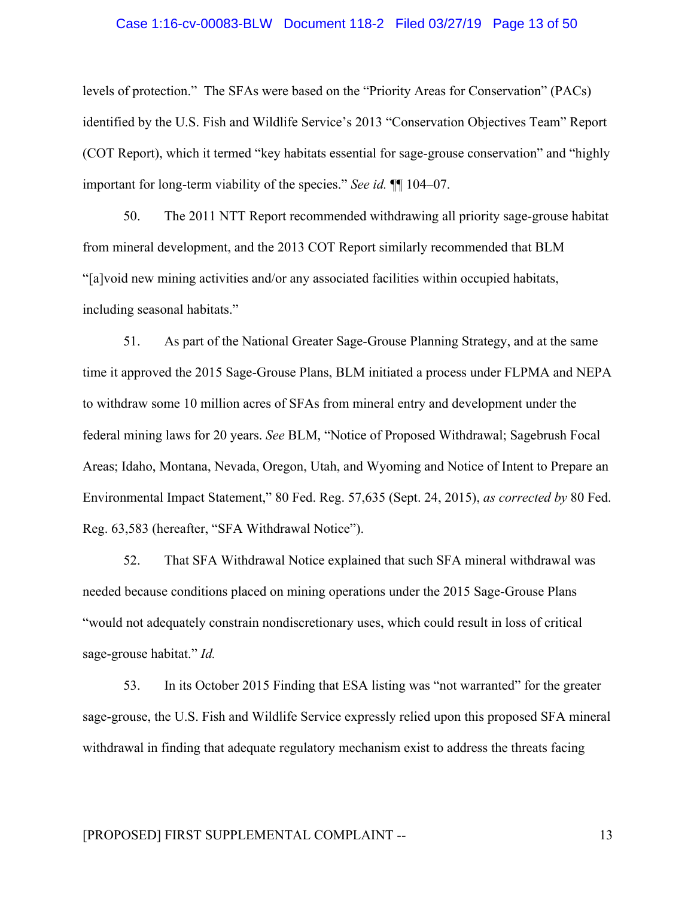#### Case 1:16-cv-00083-BLW Document 118-2 Filed 03/27/19 Page 13 of 50

levels of protection." The SFAs were based on the "Priority Areas for Conservation" (PACs) identified by the U.S. Fish and Wildlife Service's 2013 "Conservation Objectives Team" Report (COT Report), which it termed "key habitats essential for sage-grouse conservation" and "highly important for long-term viability of the species." *See id.* ¶¶ 104–07.

50. The 2011 NTT Report recommended withdrawing all priority sage-grouse habitat from mineral development, and the 2013 COT Report similarly recommended that BLM "[a]void new mining activities and/or any associated facilities within occupied habitats, including seasonal habitats."

51. As part of the National Greater Sage-Grouse Planning Strategy, and at the same time it approved the 2015 Sage-Grouse Plans, BLM initiated a process under FLPMA and NEPA to withdraw some 10 million acres of SFAs from mineral entry and development under the federal mining laws for 20 years. *See* BLM, "Notice of Proposed Withdrawal; Sagebrush Focal Areas; Idaho, Montana, Nevada, Oregon, Utah, and Wyoming and Notice of Intent to Prepare an Environmental Impact Statement," 80 Fed. Reg. 57,635 (Sept. 24, 2015), *as corrected by* 80 Fed. Reg. 63,583 (hereafter, "SFA Withdrawal Notice").

52. That SFA Withdrawal Notice explained that such SFA mineral withdrawal was needed because conditions placed on mining operations under the 2015 Sage-Grouse Plans "would not adequately constrain nondiscretionary uses, which could result in loss of critical sage-grouse habitat." *Id.*

53. In its October 2015 Finding that ESA listing was "not warranted" for the greater sage-grouse, the U.S. Fish and Wildlife Service expressly relied upon this proposed SFA mineral withdrawal in finding that adequate regulatory mechanism exist to address the threats facing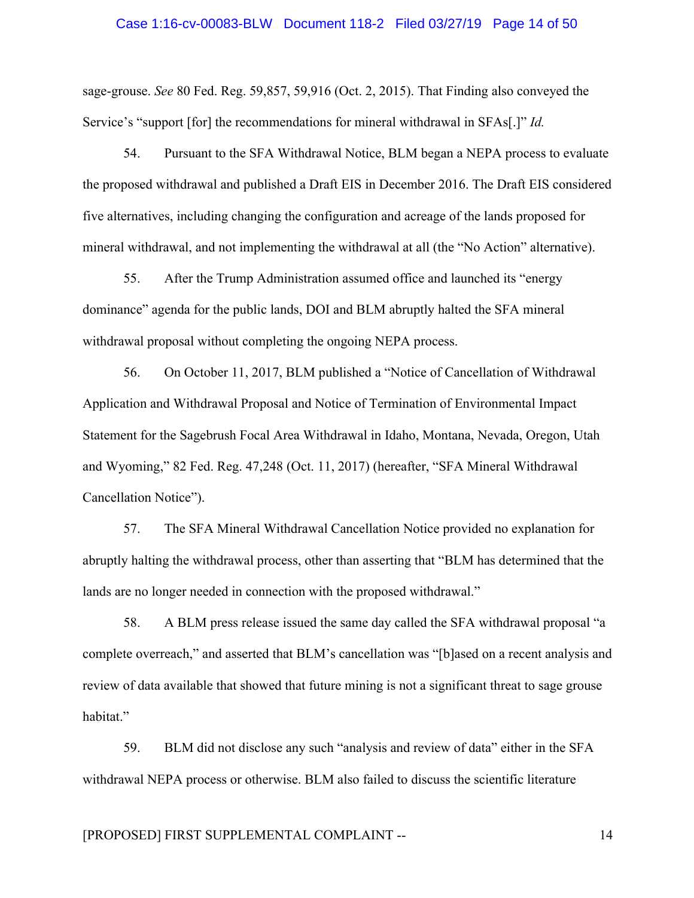#### Case 1:16-cv-00083-BLW Document 118-2 Filed 03/27/19 Page 14 of 50

sage-grouse. *See* 80 Fed. Reg. 59,857, 59,916 (Oct. 2, 2015). That Finding also conveyed the Service's "support [for] the recommendations for mineral withdrawal in SFAs[.]" *Id.*

54. Pursuant to the SFA Withdrawal Notice, BLM began a NEPA process to evaluate the proposed withdrawal and published a Draft EIS in December 2016. The Draft EIS considered five alternatives, including changing the configuration and acreage of the lands proposed for mineral withdrawal, and not implementing the withdrawal at all (the "No Action" alternative).

55. After the Trump Administration assumed office and launched its "energy dominance" agenda for the public lands, DOI and BLM abruptly halted the SFA mineral withdrawal proposal without completing the ongoing NEPA process.

56. On October 11, 2017, BLM published a "Notice of Cancellation of Withdrawal Application and Withdrawal Proposal and Notice of Termination of Environmental Impact Statement for the Sagebrush Focal Area Withdrawal in Idaho, Montana, Nevada, Oregon, Utah and Wyoming," 82 Fed. Reg. 47,248 (Oct. 11, 2017) (hereafter, "SFA Mineral Withdrawal Cancellation Notice").

57. The SFA Mineral Withdrawal Cancellation Notice provided no explanation for abruptly halting the withdrawal process, other than asserting that "BLM has determined that the lands are no longer needed in connection with the proposed withdrawal."

58. A BLM press release issued the same day called the SFA withdrawal proposal "a complete overreach," and asserted that BLM's cancellation was "[b]ased on a recent analysis and review of data available that showed that future mining is not a significant threat to sage grouse habitat."

59. BLM did not disclose any such "analysis and review of data" either in the SFA withdrawal NEPA process or otherwise. BLM also failed to discuss the scientific literature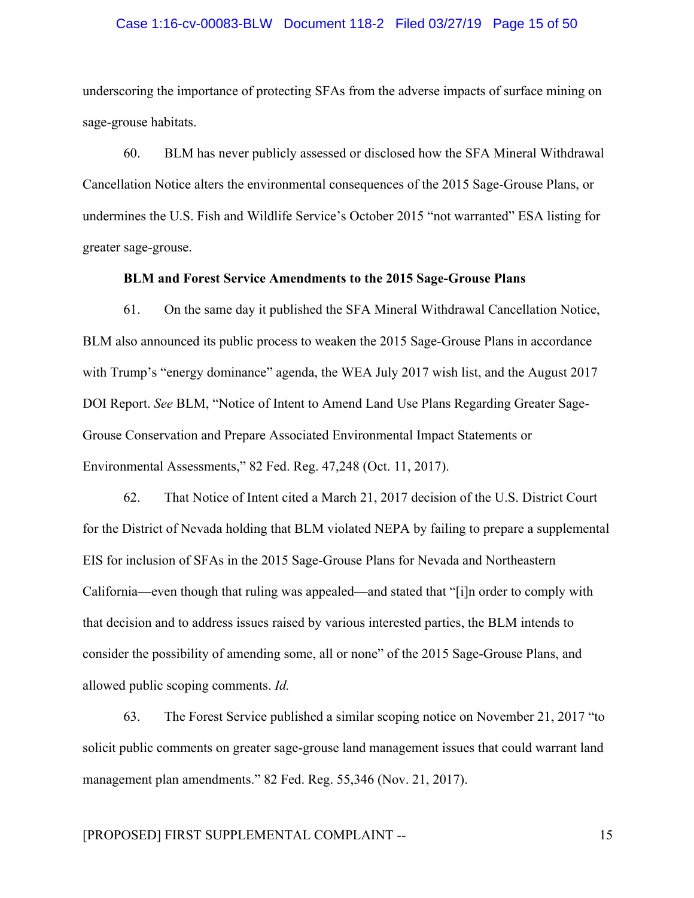#### Case 1:16-cv-00083-BLW Document 118-2 Filed 03/27/19 Page 15 of 50

underscoring the importance of protecting SFAs from the adverse impacts of surface mining on sage-grouse habitats.

60. BLM has never publicly assessed or disclosed how the SFA Mineral Withdrawal Cancellation Notice alters the environmental consequences of the 2015 Sage-Grouse Plans, or undermines the U.S. Fish and Wildlife Service's October 2015 "not warranted" ESA listing for greater sage-grouse.

#### **BLM and Forest Service Amendments to the 2015 Sage-Grouse Plans**

61. On the same day it published the SFA Mineral Withdrawal Cancellation Notice, BLM also announced its public process to weaken the 2015 Sage-Grouse Plans in accordance with Trump's "energy dominance" agenda, the WEA July 2017 wish list, and the August 2017 DOI Report. *See* BLM, "Notice of Intent to Amend Land Use Plans Regarding Greater Sage-Grouse Conservation and Prepare Associated Environmental Impact Statements or Environmental Assessments," 82 Fed. Reg. 47,248 (Oct. 11, 2017).

62. That Notice of Intent cited a March 21, 2017 decision of the U.S. District Court for the District of Nevada holding that BLM violated NEPA by failing to prepare a supplemental EIS for inclusion of SFAs in the 2015 Sage-Grouse Plans for Nevada and Northeastern California—even though that ruling was appealed—and stated that "[i]n order to comply with that decision and to address issues raised by various interested parties, the BLM intends to consider the possibility of amending some, all or none" of the 2015 Sage-Grouse Plans, and allowed public scoping comments. *Id.* 

63. The Forest Service published a similar scoping notice on November 21, 2017 "to solicit public comments on greater sage-grouse land management issues that could warrant land management plan amendments." 82 Fed. Reg. 55,346 (Nov. 21, 2017).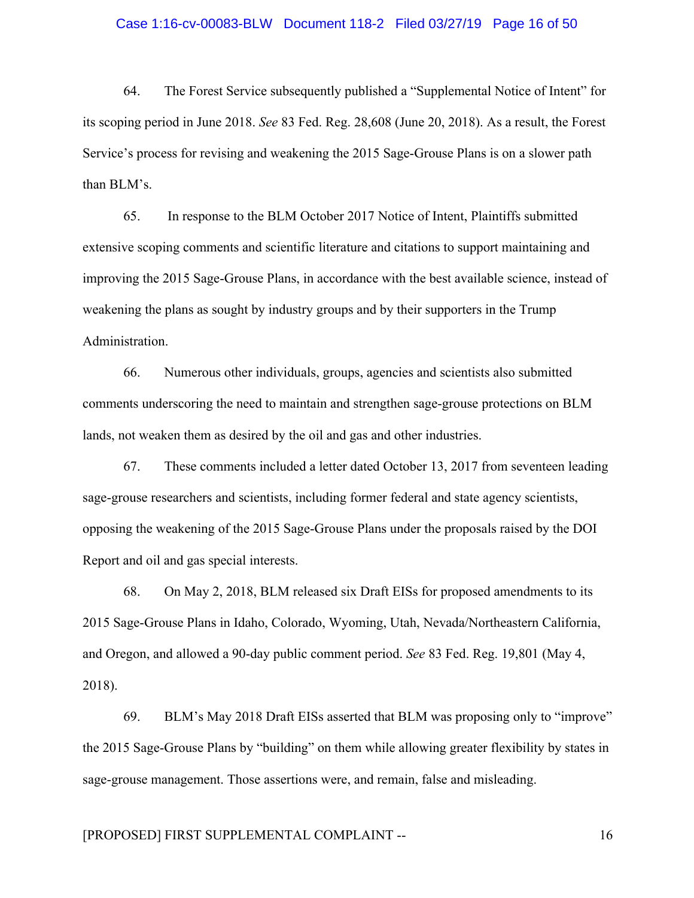#### Case 1:16-cv-00083-BLW Document 118-2 Filed 03/27/19 Page 16 of 50

64. The Forest Service subsequently published a "Supplemental Notice of Intent" for its scoping period in June 2018. *See* 83 Fed. Reg. 28,608 (June 20, 2018). As a result, the Forest Service's process for revising and weakening the 2015 Sage-Grouse Plans is on a slower path than BLM's.

65. In response to the BLM October 2017 Notice of Intent, Plaintiffs submitted extensive scoping comments and scientific literature and citations to support maintaining and improving the 2015 Sage-Grouse Plans, in accordance with the best available science, instead of weakening the plans as sought by industry groups and by their supporters in the Trump Administration.

66. Numerous other individuals, groups, agencies and scientists also submitted comments underscoring the need to maintain and strengthen sage-grouse protections on BLM lands, not weaken them as desired by the oil and gas and other industries.

67. These comments included a letter dated October 13, 2017 from seventeen leading sage-grouse researchers and scientists, including former federal and state agency scientists, opposing the weakening of the 2015 Sage-Grouse Plans under the proposals raised by the DOI Report and oil and gas special interests.

68. On May 2, 2018, BLM released six Draft EISs for proposed amendments to its 2015 Sage-Grouse Plans in Idaho, Colorado, Wyoming, Utah, Nevada/Northeastern California, and Oregon, and allowed a 90-day public comment period. *See* 83 Fed. Reg. 19,801 (May 4, 2018).

69. BLM's May 2018 Draft EISs asserted that BLM was proposing only to "improve" the 2015 Sage-Grouse Plans by "building" on them while allowing greater flexibility by states in sage-grouse management. Those assertions were, and remain, false and misleading.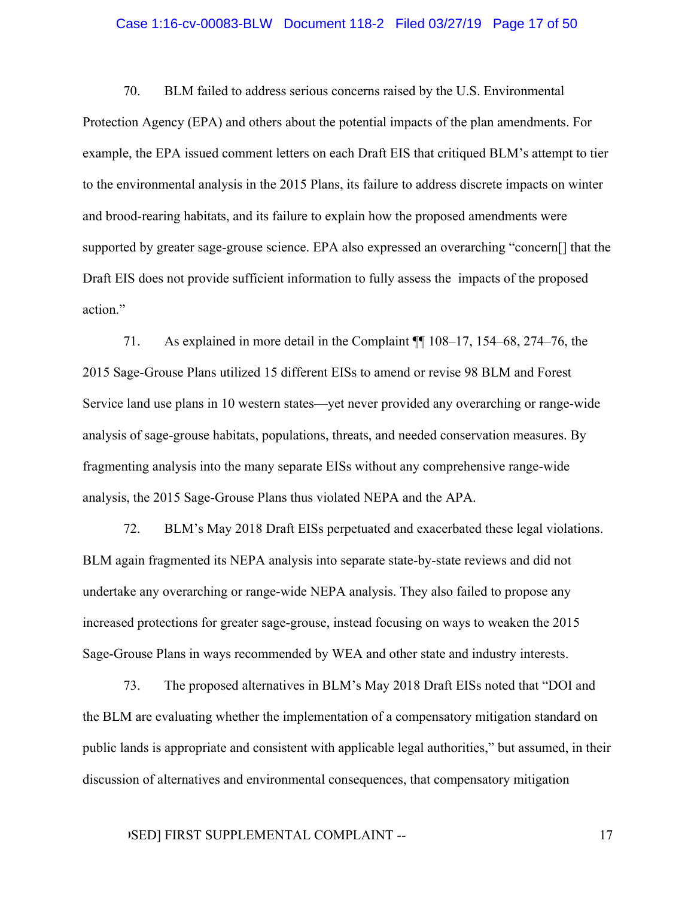#### Case 1:16-cv-00083-BLW Document 118-2 Filed 03/27/19 Page 17 of 50

70. BLM failed to address serious concerns raised by the U.S. Environmental Protection Agency (EPA) and others about the potential impacts of the plan amendments. For example, the EPA issued comment letters on each Draft EIS that critiqued BLM's attempt to tier to the environmental analysis in the 2015 Plans, its failure to address discrete impacts on winter and brood-rearing habitats, and its failure to explain how the proposed amendments were supported by greater sage-grouse science. EPA also expressed an overarching "concern[] that the Draft EIS does not provide sufficient information to fully assess the impacts of the proposed action."

71. As explained in more detail in the Complaint ¶¶ 108–17, 154–68, 274–76, the 2015 Sage-Grouse Plans utilized 15 different EISs to amend or revise 98 BLM and Forest Service land use plans in 10 western states—yet never provided any overarching or range-wide analysis of sage-grouse habitats, populations, threats, and needed conservation measures. By fragmenting analysis into the many separate EISs without any comprehensive range-wide analysis, the 2015 Sage-Grouse Plans thus violated NEPA and the APA.

72. BLM's May 2018 Draft EISs perpetuated and exacerbated these legal violations. BLM again fragmented its NEPA analysis into separate state-by-state reviews and did not undertake any overarching or range-wide NEPA analysis. They also failed to propose any increased protections for greater sage-grouse, instead focusing on ways to weaken the 2015 Sage-Grouse Plans in ways recommended by WEA and other state and industry interests.

73. The proposed alternatives in BLM's May 2018 Draft EISs noted that "DOI and the BLM are evaluating whether the implementation of a compensatory mitigation standard on public lands is appropriate and consistent with applicable legal authorities," but assumed, in their discussion of alternatives and environmental consequences, that compensatory mitigation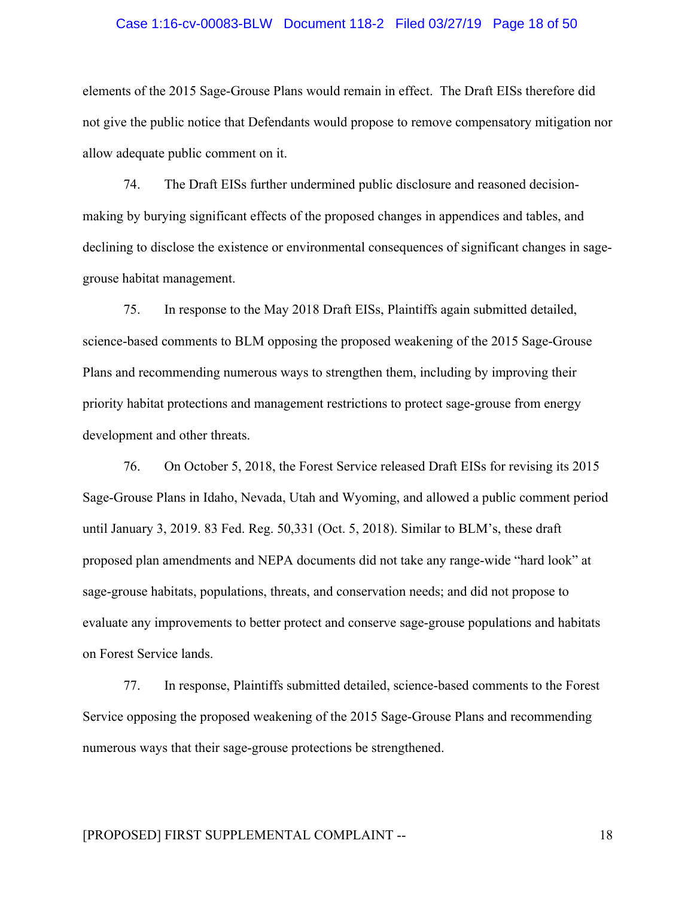#### Case 1:16-cv-00083-BLW Document 118-2 Filed 03/27/19 Page 18 of 50

elements of the 2015 Sage-Grouse Plans would remain in effect. The Draft EISs therefore did not give the public notice that Defendants would propose to remove compensatory mitigation nor allow adequate public comment on it.

74. The Draft EISs further undermined public disclosure and reasoned decisionmaking by burying significant effects of the proposed changes in appendices and tables, and declining to disclose the existence or environmental consequences of significant changes in sagegrouse habitat management.

75. In response to the May 2018 Draft EISs, Plaintiffs again submitted detailed, science-based comments to BLM opposing the proposed weakening of the 2015 Sage-Grouse Plans and recommending numerous ways to strengthen them, including by improving their priority habitat protections and management restrictions to protect sage-grouse from energy development and other threats.

76. On October 5, 2018, the Forest Service released Draft EISs for revising its 2015 Sage-Grouse Plans in Idaho, Nevada, Utah and Wyoming, and allowed a public comment period until January 3, 2019. 83 Fed. Reg. 50,331 (Oct. 5, 2018). Similar to BLM's, these draft proposed plan amendments and NEPA documents did not take any range-wide "hard look" at sage-grouse habitats, populations, threats, and conservation needs; and did not propose to evaluate any improvements to better protect and conserve sage-grouse populations and habitats on Forest Service lands.

77. In response, Plaintiffs submitted detailed, science-based comments to the Forest Service opposing the proposed weakening of the 2015 Sage-Grouse Plans and recommending numerous ways that their sage-grouse protections be strengthened.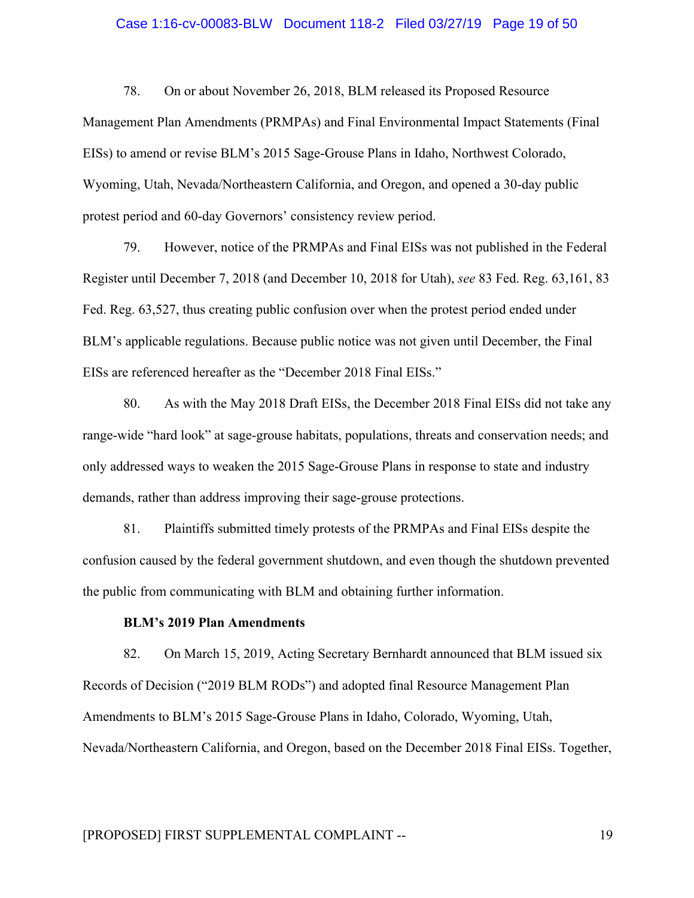#### Case 1:16-cv-00083-BLW Document 118-2 Filed 03/27/19 Page 19 of 50

78. On or about November 26, 2018, BLM released its Proposed Resource Management Plan Amendments (PRMPAs) and Final Environmental Impact Statements (Final EISs) to amend or revise BLM's 2015 Sage-Grouse Plans in Idaho, Northwest Colorado, Wyoming, Utah, Nevada/Northeastern California, and Oregon, and opened a 30-day public protest period and 60-day Governors' consistency review period.

79. However, notice of the PRMPAs and Final EISs was not published in the Federal Register until December 7, 2018 (and December 10, 2018 for Utah), *see* 83 Fed. Reg. 63,161, 83 Fed. Reg. 63,527, thus creating public confusion over when the protest period ended under BLM's applicable regulations. Because public notice was not given until December, the Final EISs are referenced hereafter as the "December 2018 Final EISs."

80. As with the May 2018 Draft EISs, the December 2018 Final EISs did not take any range-wide "hard look" at sage-grouse habitats, populations, threats and conservation needs; and only addressed ways to weaken the 2015 Sage-Grouse Plans in response to state and industry demands, rather than address improving their sage-grouse protections.

81. Plaintiffs submitted timely protests of the PRMPAs and Final EISs despite the confusion caused by the federal government shutdown, and even though the shutdown prevented the public from communicating with BLM and obtaining further information.

## **BLM's 2019 Plan Amendments**

82. On March 15, 2019, Acting Secretary Bernhardt announced that BLM issued six Records of Decision ("2019 BLM RODs") and adopted final Resource Management Plan Amendments to BLM's 2015 Sage-Grouse Plans in Idaho, Colorado, Wyoming, Utah, Nevada/Northeastern California, and Oregon, based on the December 2018 Final EISs. Together,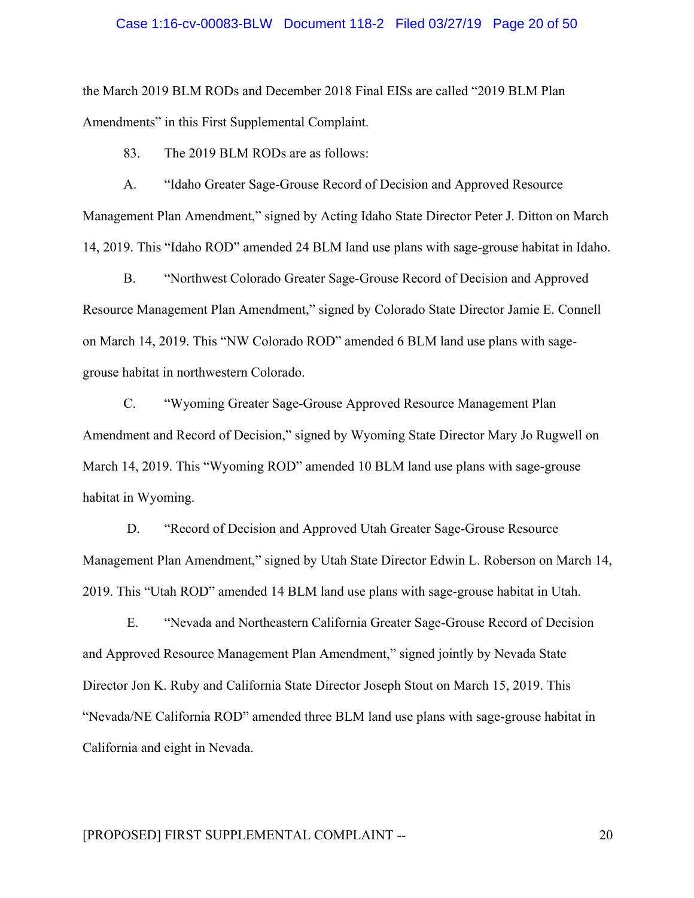#### Case 1:16-cv-00083-BLW Document 118-2 Filed 03/27/19 Page 20 of 50

the March 2019 BLM RODs and December 2018 Final EISs are called "2019 BLM Plan Amendments" in this First Supplemental Complaint.

83. The 2019 BLM RODs are as follows:

A. "Idaho Greater Sage-Grouse Record of Decision and Approved Resource Management Plan Amendment," signed by Acting Idaho State Director Peter J. Ditton on March 14, 2019. This "Idaho ROD" amended 24 BLM land use plans with sage-grouse habitat in Idaho.

B. "Northwest Colorado Greater Sage-Grouse Record of Decision and Approved Resource Management Plan Amendment," signed by Colorado State Director Jamie E. Connell on March 14, 2019. This "NW Colorado ROD" amended 6 BLM land use plans with sagegrouse habitat in northwestern Colorado.

C. "Wyoming Greater Sage-Grouse Approved Resource Management Plan Amendment and Record of Decision," signed by Wyoming State Director Mary Jo Rugwell on March 14, 2019. This "Wyoming ROD" amended 10 BLM land use plans with sage-grouse habitat in Wyoming.

D. "Record of Decision and Approved Utah Greater Sage-Grouse Resource Management Plan Amendment," signed by Utah State Director Edwin L. Roberson on March 14, 2019. This "Utah ROD" amended 14 BLM land use plans with sage-grouse habitat in Utah.

E. "Nevada and Northeastern California Greater Sage-Grouse Record of Decision and Approved Resource Management Plan Amendment," signed jointly by Nevada State Director Jon K. Ruby and California State Director Joseph Stout on March 15, 2019. This "Nevada/NE California ROD" amended three BLM land use plans with sage-grouse habitat in California and eight in Nevada.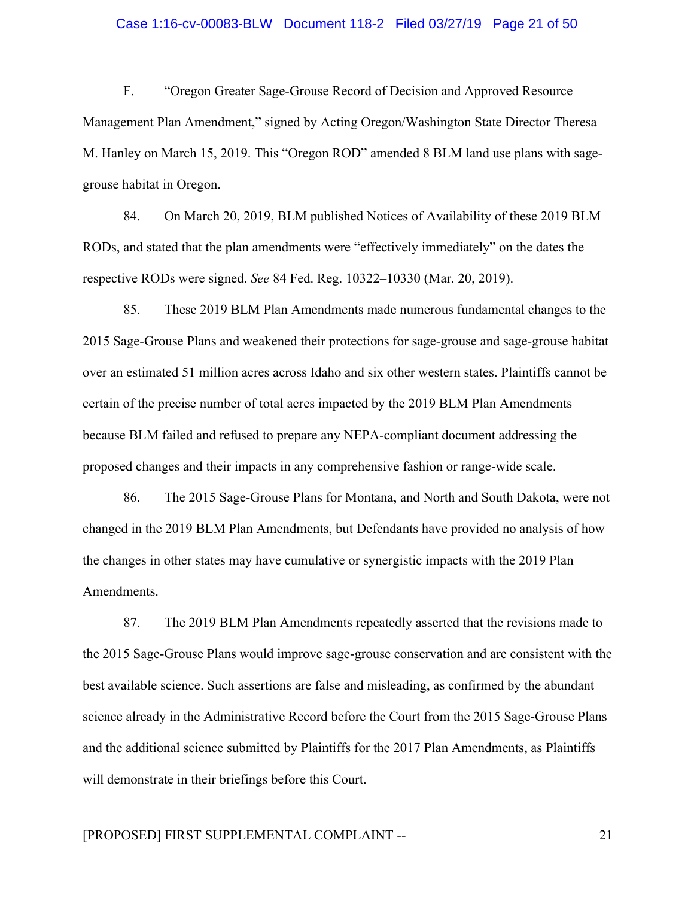#### Case 1:16-cv-00083-BLW Document 118-2 Filed 03/27/19 Page 21 of 50

F. "Oregon Greater Sage-Grouse Record of Decision and Approved Resource Management Plan Amendment," signed by Acting Oregon/Washington State Director Theresa M. Hanley on March 15, 2019. This "Oregon ROD" amended 8 BLM land use plans with sagegrouse habitat in Oregon.

84. On March 20, 2019, BLM published Notices of Availability of these 2019 BLM RODs, and stated that the plan amendments were "effectively immediately" on the dates the respective RODs were signed. *See* 84 Fed. Reg. 10322–10330 (Mar. 20, 2019).

85. These 2019 BLM Plan Amendments made numerous fundamental changes to the 2015 Sage-Grouse Plans and weakened their protections for sage-grouse and sage-grouse habitat over an estimated 51 million acres across Idaho and six other western states. Plaintiffs cannot be certain of the precise number of total acres impacted by the 2019 BLM Plan Amendments because BLM failed and refused to prepare any NEPA-compliant document addressing the proposed changes and their impacts in any comprehensive fashion or range-wide scale.

86. The 2015 Sage-Grouse Plans for Montana, and North and South Dakota, were not changed in the 2019 BLM Plan Amendments, but Defendants have provided no analysis of how the changes in other states may have cumulative or synergistic impacts with the 2019 Plan Amendments.

87. The 2019 BLM Plan Amendments repeatedly asserted that the revisions made to the 2015 Sage-Grouse Plans would improve sage-grouse conservation and are consistent with the best available science. Such assertions are false and misleading, as confirmed by the abundant science already in the Administrative Record before the Court from the 2015 Sage-Grouse Plans and the additional science submitted by Plaintiffs for the 2017 Plan Amendments, as Plaintiffs will demonstrate in their briefings before this Court.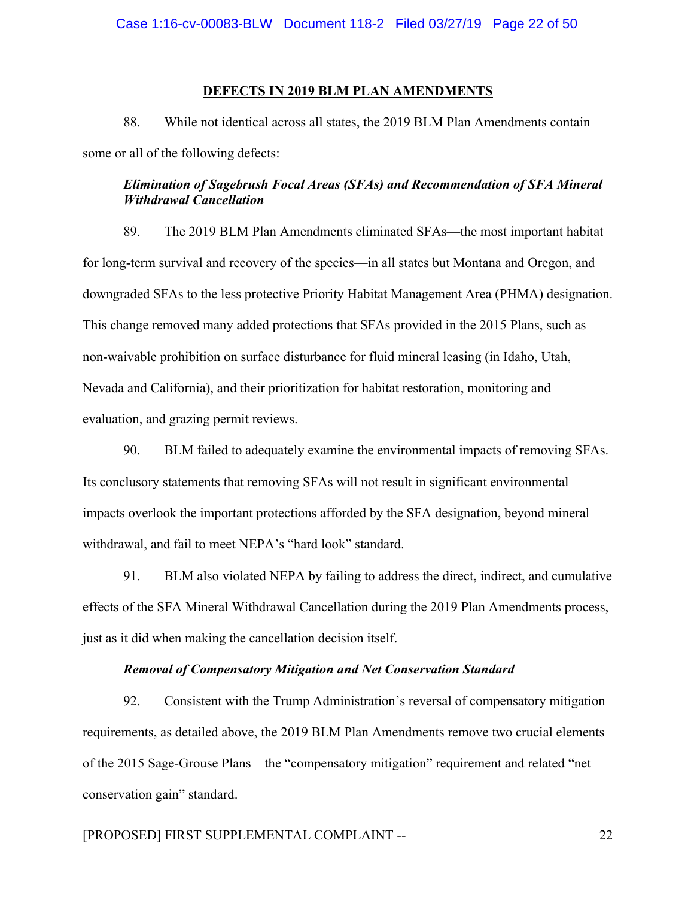## **DEFECTS IN 2019 BLM PLAN AMENDMENTS**

88. While not identical across all states, the 2019 BLM Plan Amendments contain some or all of the following defects:

# *Elimination of Sagebrush Focal Areas (SFAs) and Recommendation of SFA Mineral Withdrawal Cancellation*

89. The 2019 BLM Plan Amendments eliminated SFAs—the most important habitat for long-term survival and recovery of the species—in all states but Montana and Oregon, and downgraded SFAs to the less protective Priority Habitat Management Area (PHMA) designation. This change removed many added protections that SFAs provided in the 2015 Plans, such as non-waivable prohibition on surface disturbance for fluid mineral leasing (in Idaho, Utah, Nevada and California), and their prioritization for habitat restoration, monitoring and evaluation, and grazing permit reviews.

90. BLM failed to adequately examine the environmental impacts of removing SFAs. Its conclusory statements that removing SFAs will not result in significant environmental impacts overlook the important protections afforded by the SFA designation, beyond mineral withdrawal, and fail to meet NEPA's "hard look" standard.

91. BLM also violated NEPA by failing to address the direct, indirect, and cumulative effects of the SFA Mineral Withdrawal Cancellation during the 2019 Plan Amendments process, just as it did when making the cancellation decision itself.

## *Removal of Compensatory Mitigation and Net Conservation Standard*

92. Consistent with the Trump Administration's reversal of compensatory mitigation requirements, as detailed above, the 2019 BLM Plan Amendments remove two crucial elements of the 2015 Sage-Grouse Plans—the "compensatory mitigation" requirement and related "net conservation gain" standard.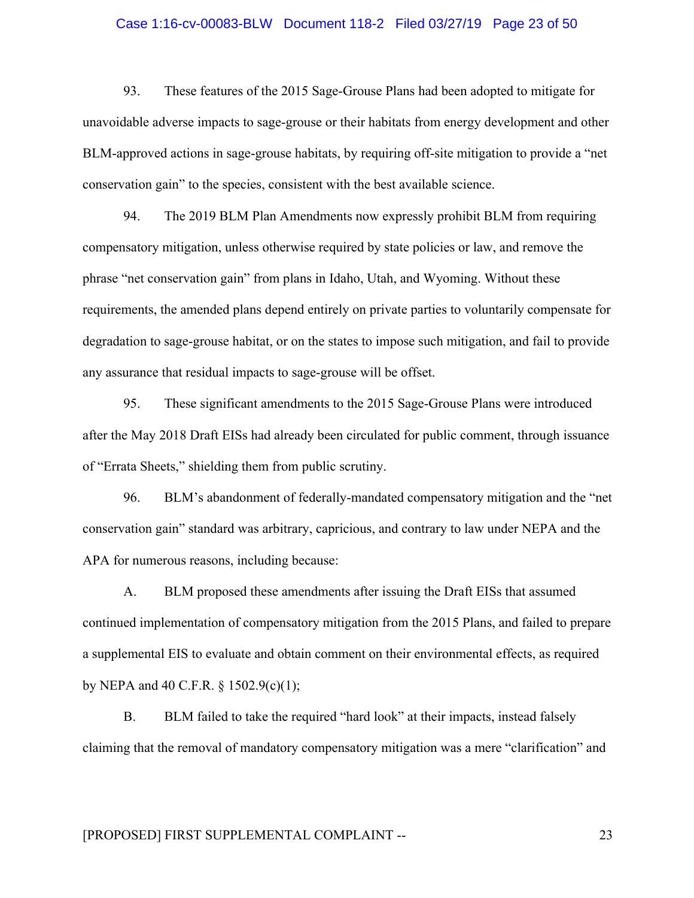#### Case 1:16-cv-00083-BLW Document 118-2 Filed 03/27/19 Page 23 of 50

93. These features of the 2015 Sage-Grouse Plans had been adopted to mitigate for unavoidable adverse impacts to sage-grouse or their habitats from energy development and other BLM-approved actions in sage-grouse habitats, by requiring off-site mitigation to provide a "net conservation gain" to the species, consistent with the best available science.

94. The 2019 BLM Plan Amendments now expressly prohibit BLM from requiring compensatory mitigation, unless otherwise required by state policies or law, and remove the phrase "net conservation gain" from plans in Idaho, Utah, and Wyoming. Without these requirements, the amended plans depend entirely on private parties to voluntarily compensate for degradation to sage-grouse habitat, or on the states to impose such mitigation, and fail to provide any assurance that residual impacts to sage-grouse will be offset.

95. These significant amendments to the 2015 Sage-Grouse Plans were introduced after the May 2018 Draft EISs had already been circulated for public comment, through issuance of "Errata Sheets," shielding them from public scrutiny.

96. BLM's abandonment of federally-mandated compensatory mitigation and the "net conservation gain" standard was arbitrary, capricious, and contrary to law under NEPA and the APA for numerous reasons, including because:

A. BLM proposed these amendments after issuing the Draft EISs that assumed continued implementation of compensatory mitigation from the 2015 Plans, and failed to prepare a supplemental EIS to evaluate and obtain comment on their environmental effects, as required by NEPA and 40 C.F.R.  $\S$  1502.9(c)(1);

B. BLM failed to take the required "hard look" at their impacts, instead falsely claiming that the removal of mandatory compensatory mitigation was a mere "clarification" and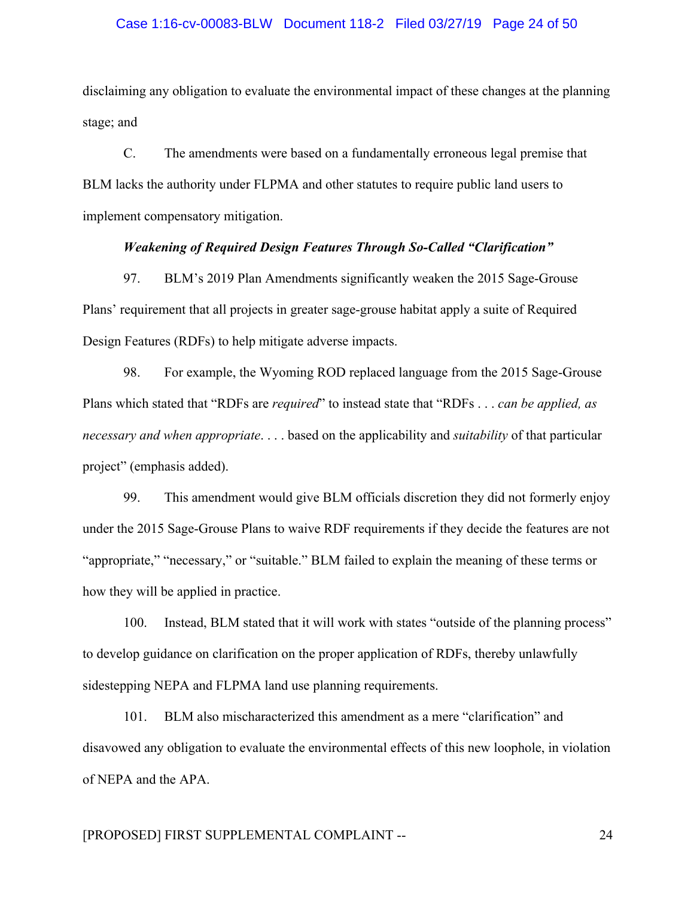#### Case 1:16-cv-00083-BLW Document 118-2 Filed 03/27/19 Page 24 of 50

disclaiming any obligation to evaluate the environmental impact of these changes at the planning stage; and

C. The amendments were based on a fundamentally erroneous legal premise that BLM lacks the authority under FLPMA and other statutes to require public land users to implement compensatory mitigation.

#### *Weakening of Required Design Features Through So-Called "Clarification"*

97. BLM's 2019 Plan Amendments significantly weaken the 2015 Sage-Grouse Plans' requirement that all projects in greater sage-grouse habitat apply a suite of Required Design Features (RDFs) to help mitigate adverse impacts.

98. For example, the Wyoming ROD replaced language from the 2015 Sage-Grouse Plans which stated that "RDFs are *required*" to instead state that "RDFs . . . *can be applied, as necessary and when appropriate*. . . . based on the applicability and *suitability* of that particular project" (emphasis added).

99. This amendment would give BLM officials discretion they did not formerly enjoy under the 2015 Sage-Grouse Plans to waive RDF requirements if they decide the features are not "appropriate," "necessary," or "suitable." BLM failed to explain the meaning of these terms or how they will be applied in practice.

100. Instead, BLM stated that it will work with states "outside of the planning process" to develop guidance on clarification on the proper application of RDFs, thereby unlawfully sidestepping NEPA and FLPMA land use planning requirements.

101. BLM also mischaracterized this amendment as a mere "clarification" and disavowed any obligation to evaluate the environmental effects of this new loophole, in violation of NEPA and the APA.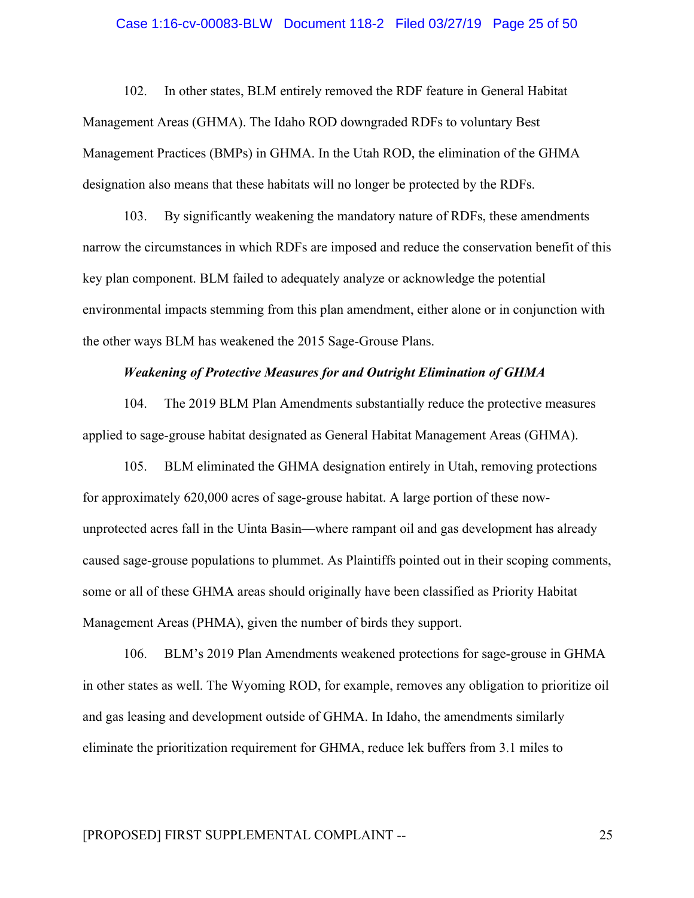#### Case 1:16-cv-00083-BLW Document 118-2 Filed 03/27/19 Page 25 of 50

102. In other states, BLM entirely removed the RDF feature in General Habitat Management Areas (GHMA). The Idaho ROD downgraded RDFs to voluntary Best Management Practices (BMPs) in GHMA. In the Utah ROD, the elimination of the GHMA designation also means that these habitats will no longer be protected by the RDFs.

103. By significantly weakening the mandatory nature of RDFs, these amendments narrow the circumstances in which RDFs are imposed and reduce the conservation benefit of this key plan component. BLM failed to adequately analyze or acknowledge the potential environmental impacts stemming from this plan amendment, either alone or in conjunction with the other ways BLM has weakened the 2015 Sage-Grouse Plans.

## *Weakening of Protective Measures for and Outright Elimination of GHMA*

104. The 2019 BLM Plan Amendments substantially reduce the protective measures applied to sage-grouse habitat designated as General Habitat Management Areas (GHMA).

105. BLM eliminated the GHMA designation entirely in Utah, removing protections for approximately 620,000 acres of sage-grouse habitat. A large portion of these nowunprotected acres fall in the Uinta Basin—where rampant oil and gas development has already caused sage-grouse populations to plummet. As Plaintiffs pointed out in their scoping comments, some or all of these GHMA areas should originally have been classified as Priority Habitat Management Areas (PHMA), given the number of birds they support.

106. BLM's 2019 Plan Amendments weakened protections for sage-grouse in GHMA in other states as well. The Wyoming ROD, for example, removes any obligation to prioritize oil and gas leasing and development outside of GHMA. In Idaho, the amendments similarly eliminate the prioritization requirement for GHMA, reduce lek buffers from 3.1 miles to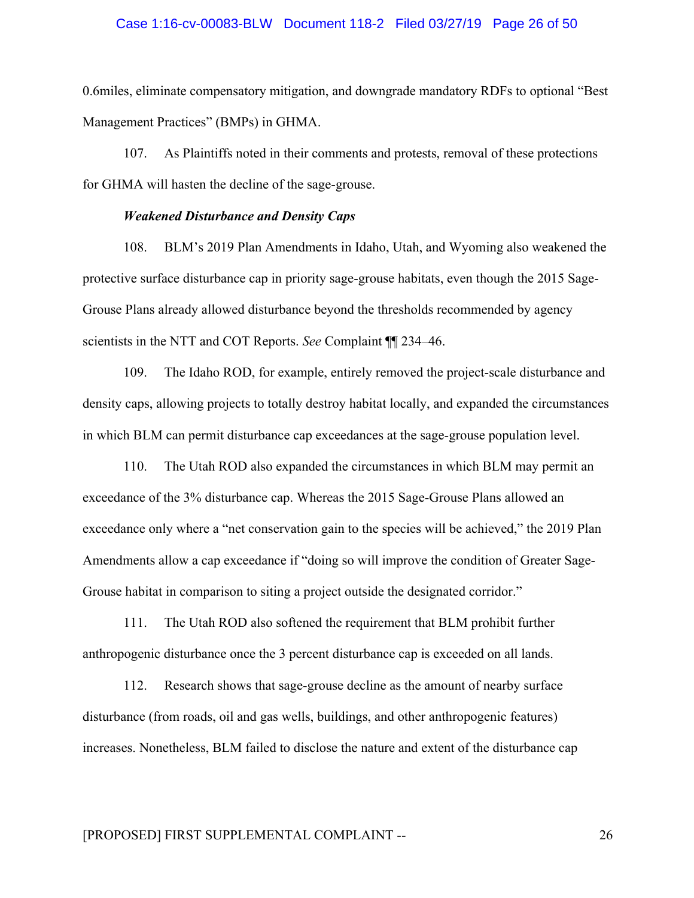#### Case 1:16-cv-00083-BLW Document 118-2 Filed 03/27/19 Page 26 of 50

0.6miles, eliminate compensatory mitigation, and downgrade mandatory RDFs to optional "Best Management Practices" (BMPs) in GHMA.

107. As Plaintiffs noted in their comments and protests, removal of these protections for GHMA will hasten the decline of the sage-grouse.

#### *Weakened Disturbance and Density Caps*

108. BLM's 2019 Plan Amendments in Idaho, Utah, and Wyoming also weakened the protective surface disturbance cap in priority sage-grouse habitats, even though the 2015 Sage-Grouse Plans already allowed disturbance beyond the thresholds recommended by agency scientists in the NTT and COT Reports. *See* Complaint ¶¶ 234–46.

109. The Idaho ROD, for example, entirely removed the project-scale disturbance and density caps, allowing projects to totally destroy habitat locally, and expanded the circumstances in which BLM can permit disturbance cap exceedances at the sage-grouse population level.

110. The Utah ROD also expanded the circumstances in which BLM may permit an exceedance of the 3% disturbance cap. Whereas the 2015 Sage-Grouse Plans allowed an exceedance only where a "net conservation gain to the species will be achieved," the 2019 Plan Amendments allow a cap exceedance if "doing so will improve the condition of Greater Sage-Grouse habitat in comparison to siting a project outside the designated corridor."

111. The Utah ROD also softened the requirement that BLM prohibit further anthropogenic disturbance once the 3 percent disturbance cap is exceeded on all lands.

112. Research shows that sage-grouse decline as the amount of nearby surface disturbance (from roads, oil and gas wells, buildings, and other anthropogenic features) increases. Nonetheless, BLM failed to disclose the nature and extent of the disturbance cap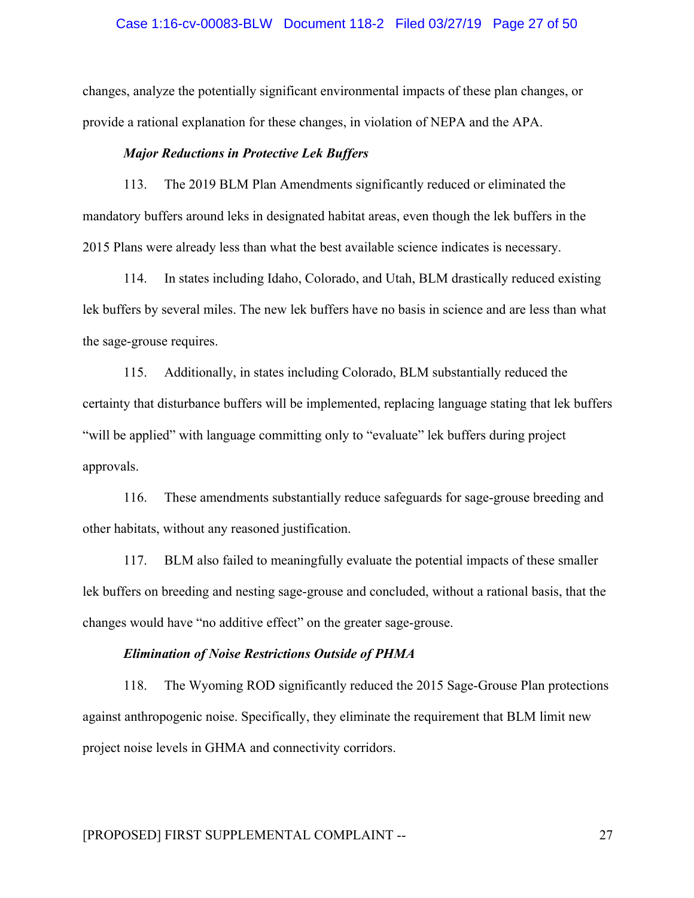#### Case 1:16-cv-00083-BLW Document 118-2 Filed 03/27/19 Page 27 of 50

changes, analyze the potentially significant environmental impacts of these plan changes, or provide a rational explanation for these changes, in violation of NEPA and the APA.

#### *Major Reductions in Protective Lek Buffers*

113. The 2019 BLM Plan Amendments significantly reduced or eliminated the mandatory buffers around leks in designated habitat areas, even though the lek buffers in the 2015 Plans were already less than what the best available science indicates is necessary.

114. In states including Idaho, Colorado, and Utah, BLM drastically reduced existing lek buffers by several miles. The new lek buffers have no basis in science and are less than what the sage-grouse requires.

115. Additionally, in states including Colorado, BLM substantially reduced the certainty that disturbance buffers will be implemented, replacing language stating that lek buffers "will be applied" with language committing only to "evaluate" lek buffers during project approvals.

116. These amendments substantially reduce safeguards for sage-grouse breeding and other habitats, without any reasoned justification.

117. BLM also failed to meaningfully evaluate the potential impacts of these smaller lek buffers on breeding and nesting sage-grouse and concluded, without a rational basis, that the changes would have "no additive effect" on the greater sage-grouse.

#### *Elimination of Noise Restrictions Outside of PHMA*

118. The Wyoming ROD significantly reduced the 2015 Sage-Grouse Plan protections against anthropogenic noise. Specifically, they eliminate the requirement that BLM limit new project noise levels in GHMA and connectivity corridors.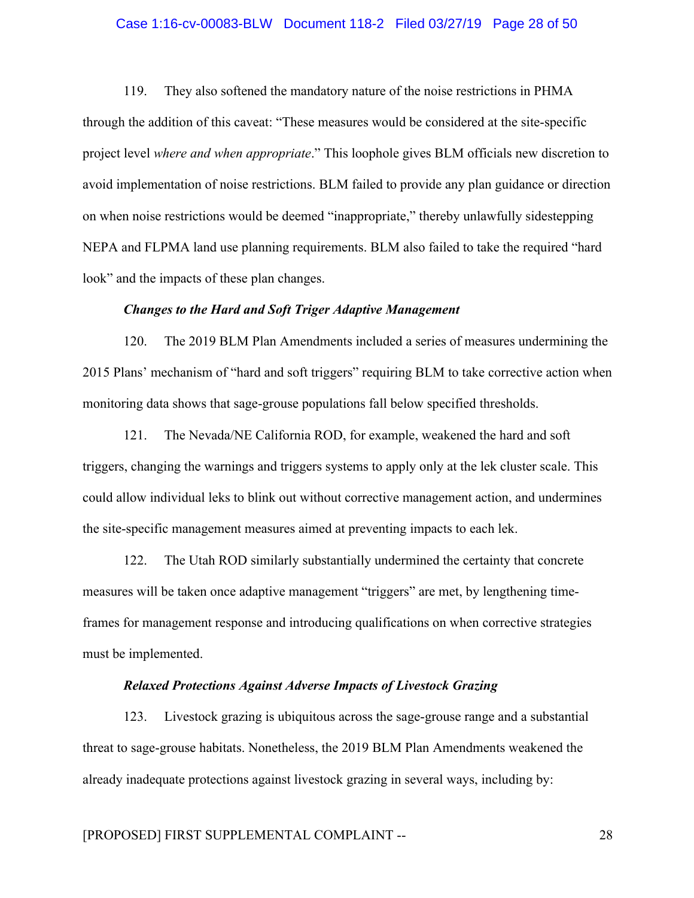#### Case 1:16-cv-00083-BLW Document 118-2 Filed 03/27/19 Page 28 of 50

119. They also softened the mandatory nature of the noise restrictions in PHMA through the addition of this caveat: "These measures would be considered at the site-specific project level *where and when appropriate*." This loophole gives BLM officials new discretion to avoid implementation of noise restrictions. BLM failed to provide any plan guidance or direction on when noise restrictions would be deemed "inappropriate," thereby unlawfully sidestepping NEPA and FLPMA land use planning requirements. BLM also failed to take the required "hard look" and the impacts of these plan changes.

### *Changes to the Hard and Soft Triger Adaptive Management*

120. The 2019 BLM Plan Amendments included a series of measures undermining the 2015 Plans' mechanism of "hard and soft triggers" requiring BLM to take corrective action when monitoring data shows that sage-grouse populations fall below specified thresholds.

121. The Nevada/NE California ROD, for example, weakened the hard and soft triggers, changing the warnings and triggers systems to apply only at the lek cluster scale. This could allow individual leks to blink out without corrective management action, and undermines the site-specific management measures aimed at preventing impacts to each lek.

122. The Utah ROD similarly substantially undermined the certainty that concrete measures will be taken once adaptive management "triggers" are met, by lengthening timeframes for management response and introducing qualifications on when corrective strategies must be implemented.

#### *Relaxed Protections Against Adverse Impacts of Livestock Grazing*

123. Livestock grazing is ubiquitous across the sage-grouse range and a substantial threat to sage-grouse habitats. Nonetheless, the 2019 BLM Plan Amendments weakened the already inadequate protections against livestock grazing in several ways, including by: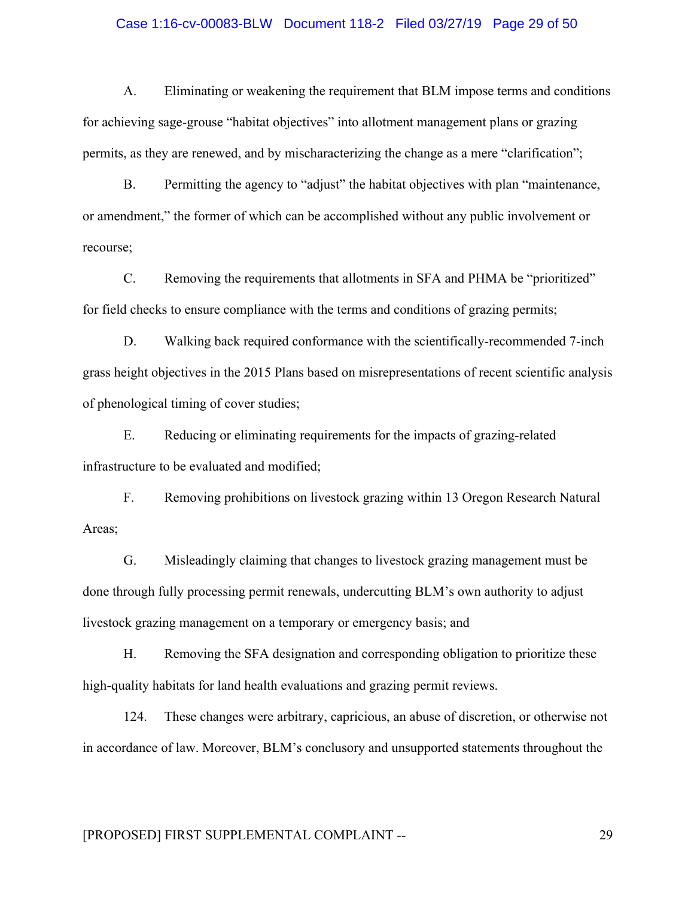#### Case 1:16-cv-00083-BLW Document 118-2 Filed 03/27/19 Page 29 of 50

A. Eliminating or weakening the requirement that BLM impose terms and conditions for achieving sage-grouse "habitat objectives" into allotment management plans or grazing permits, as they are renewed, and by mischaracterizing the change as a mere "clarification";

B. Permitting the agency to "adjust" the habitat objectives with plan "maintenance, or amendment," the former of which can be accomplished without any public involvement or recourse;

C. Removing the requirements that allotments in SFA and PHMA be "prioritized" for field checks to ensure compliance with the terms and conditions of grazing permits;

D. Walking back required conformance with the scientifically-recommended 7-inch grass height objectives in the 2015 Plans based on misrepresentations of recent scientific analysis of phenological timing of cover studies;

E. Reducing or eliminating requirements for the impacts of grazing-related infrastructure to be evaluated and modified;

F. Removing prohibitions on livestock grazing within 13 Oregon Research Natural Areas;

G. Misleadingly claiming that changes to livestock grazing management must be done through fully processing permit renewals, undercutting BLM's own authority to adjust livestock grazing management on a temporary or emergency basis; and

H. Removing the SFA designation and corresponding obligation to prioritize these high-quality habitats for land health evaluations and grazing permit reviews.

124. These changes were arbitrary, capricious, an abuse of discretion, or otherwise not in accordance of law. Moreover, BLM's conclusory and unsupported statements throughout the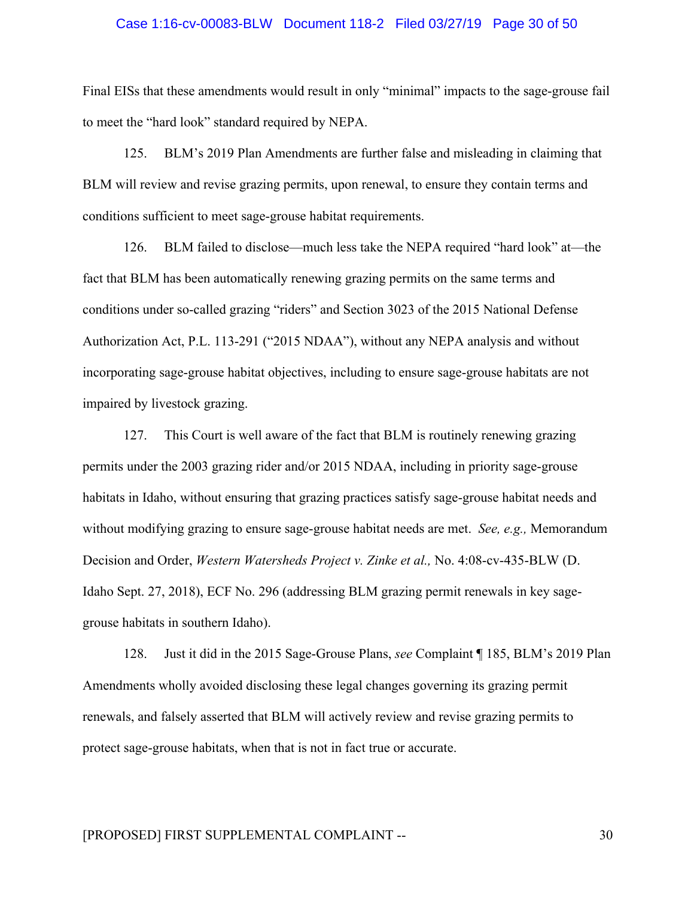#### Case 1:16-cv-00083-BLW Document 118-2 Filed 03/27/19 Page 30 of 50

Final EISs that these amendments would result in only "minimal" impacts to the sage-grouse fail to meet the "hard look" standard required by NEPA.

125. BLM's 2019 Plan Amendments are further false and misleading in claiming that BLM will review and revise grazing permits, upon renewal, to ensure they contain terms and conditions sufficient to meet sage-grouse habitat requirements.

126. BLM failed to disclose—much less take the NEPA required "hard look" at—the fact that BLM has been automatically renewing grazing permits on the same terms and conditions under so-called grazing "riders" and Section 3023 of the 2015 National Defense Authorization Act, P.L. 113-291 ("2015 NDAA"), without any NEPA analysis and without incorporating sage-grouse habitat objectives, including to ensure sage-grouse habitats are not impaired by livestock grazing.

127. This Court is well aware of the fact that BLM is routinely renewing grazing permits under the 2003 grazing rider and/or 2015 NDAA, including in priority sage-grouse habitats in Idaho, without ensuring that grazing practices satisfy sage-grouse habitat needs and without modifying grazing to ensure sage-grouse habitat needs are met. *See, e.g.,* Memorandum Decision and Order, *Western Watersheds Project v. Zinke et al.,* No. 4:08-cv-435-BLW (D. Idaho Sept. 27, 2018), ECF No. 296 (addressing BLM grazing permit renewals in key sagegrouse habitats in southern Idaho).

128. Just it did in the 2015 Sage-Grouse Plans, *see* Complaint ¶ 185, BLM's 2019 Plan Amendments wholly avoided disclosing these legal changes governing its grazing permit renewals, and falsely asserted that BLM will actively review and revise grazing permits to protect sage-grouse habitats, when that is not in fact true or accurate.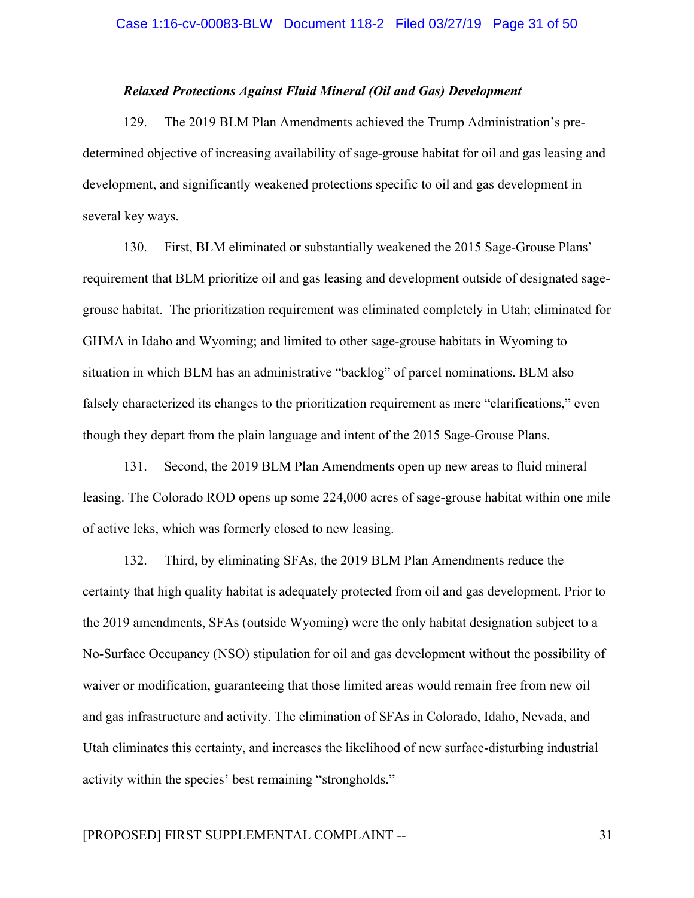## *Relaxed Protections Against Fluid Mineral (Oil and Gas) Development*

129. The 2019 BLM Plan Amendments achieved the Trump Administration's predetermined objective of increasing availability of sage-grouse habitat for oil and gas leasing and development, and significantly weakened protections specific to oil and gas development in several key ways.

130. First, BLM eliminated or substantially weakened the 2015 Sage-Grouse Plans' requirement that BLM prioritize oil and gas leasing and development outside of designated sagegrouse habitat. The prioritization requirement was eliminated completely in Utah; eliminated for GHMA in Idaho and Wyoming; and limited to other sage-grouse habitats in Wyoming to situation in which BLM has an administrative "backlog" of parcel nominations. BLM also falsely characterized its changes to the prioritization requirement as mere "clarifications," even though they depart from the plain language and intent of the 2015 Sage-Grouse Plans.

131. Second, the 2019 BLM Plan Amendments open up new areas to fluid mineral leasing. The Colorado ROD opens up some 224,000 acres of sage-grouse habitat within one mile of active leks, which was formerly closed to new leasing.

132. Third, by eliminating SFAs, the 2019 BLM Plan Amendments reduce the certainty that high quality habitat is adequately protected from oil and gas development. Prior to the 2019 amendments, SFAs (outside Wyoming) were the only habitat designation subject to a No-Surface Occupancy (NSO) stipulation for oil and gas development without the possibility of waiver or modification, guaranteeing that those limited areas would remain free from new oil and gas infrastructure and activity. The elimination of SFAs in Colorado, Idaho, Nevada, and Utah eliminates this certainty, and increases the likelihood of new surface-disturbing industrial activity within the species' best remaining "strongholds."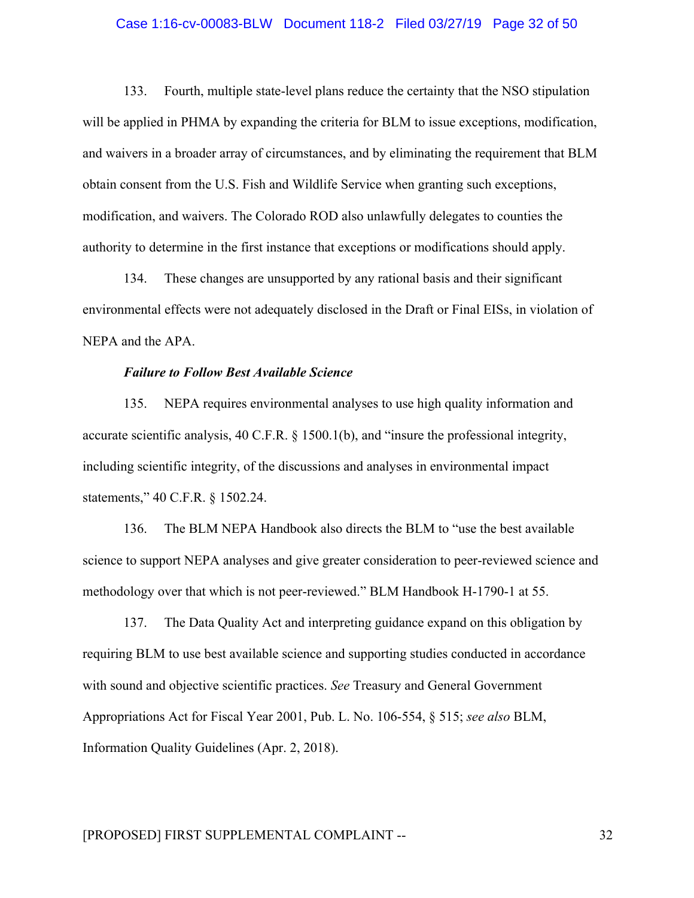#### Case 1:16-cv-00083-BLW Document 118-2 Filed 03/27/19 Page 32 of 50

133. Fourth, multiple state-level plans reduce the certainty that the NSO stipulation will be applied in PHMA by expanding the criteria for BLM to issue exceptions, modification, and waivers in a broader array of circumstances, and by eliminating the requirement that BLM obtain consent from the U.S. Fish and Wildlife Service when granting such exceptions, modification, and waivers. The Colorado ROD also unlawfully delegates to counties the authority to determine in the first instance that exceptions or modifications should apply.

134. These changes are unsupported by any rational basis and their significant environmental effects were not adequately disclosed in the Draft or Final EISs, in violation of NEPA and the APA.

## *Failure to Follow Best Available Science*

135. NEPA requires environmental analyses to use high quality information and accurate scientific analysis, 40 C.F.R. § 1500.1(b), and "insure the professional integrity, including scientific integrity, of the discussions and analyses in environmental impact statements," 40 C.F.R. § 1502.24.

136. The BLM NEPA Handbook also directs the BLM to "use the best available science to support NEPA analyses and give greater consideration to peer-reviewed science and methodology over that which is not peer-reviewed." BLM Handbook H-1790-1 at 55.

137. The Data Quality Act and interpreting guidance expand on this obligation by requiring BLM to use best available science and supporting studies conducted in accordance with sound and objective scientific practices. *See* Treasury and General Government Appropriations Act for Fiscal Year 2001, Pub. L. No. 106-554, § 515; *see also* BLM, Information Quality Guidelines (Apr. 2, 2018).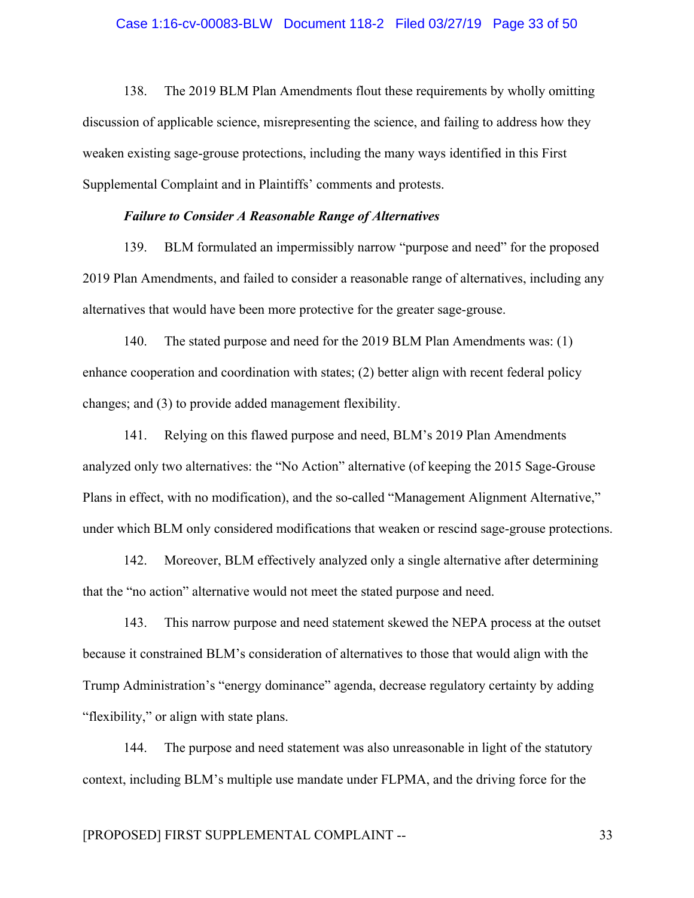#### Case 1:16-cv-00083-BLW Document 118-2 Filed 03/27/19 Page 33 of 50

138. The 2019 BLM Plan Amendments flout these requirements by wholly omitting discussion of applicable science, misrepresenting the science, and failing to address how they weaken existing sage-grouse protections, including the many ways identified in this First Supplemental Complaint and in Plaintiffs' comments and protests.

#### *Failure to Consider A Reasonable Range of Alternatives*

139. BLM formulated an impermissibly narrow "purpose and need" for the proposed 2019 Plan Amendments, and failed to consider a reasonable range of alternatives, including any alternatives that would have been more protective for the greater sage-grouse.

140. The stated purpose and need for the 2019 BLM Plan Amendments was: (1) enhance cooperation and coordination with states; (2) better align with recent federal policy changes; and (3) to provide added management flexibility.

141. Relying on this flawed purpose and need, BLM's 2019 Plan Amendments analyzed only two alternatives: the "No Action" alternative (of keeping the 2015 Sage-Grouse Plans in effect, with no modification), and the so-called "Management Alignment Alternative," under which BLM only considered modifications that weaken or rescind sage-grouse protections.

142. Moreover, BLM effectively analyzed only a single alternative after determining that the "no action" alternative would not meet the stated purpose and need.

143. This narrow purpose and need statement skewed the NEPA process at the outset because it constrained BLM's consideration of alternatives to those that would align with the Trump Administration's "energy dominance" agenda, decrease regulatory certainty by adding "flexibility," or align with state plans.

144. The purpose and need statement was also unreasonable in light of the statutory context, including BLM's multiple use mandate under FLPMA, and the driving force for the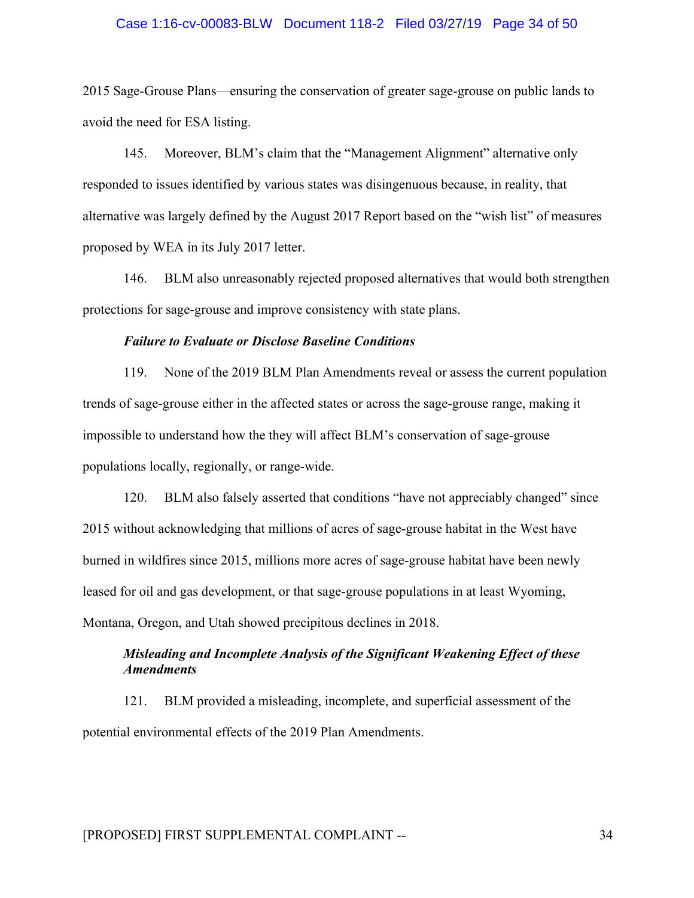#### Case 1:16-cv-00083-BLW Document 118-2 Filed 03/27/19 Page 34 of 50

2015 Sage-Grouse Plans—ensuring the conservation of greater sage-grouse on public lands to avoid the need for ESA listing.

145. Moreover, BLM's claim that the "Management Alignment" alternative only responded to issues identified by various states was disingenuous because, in reality, that alternative was largely defined by the August 2017 Report based on the "wish list" of measures proposed by WEA in its July 2017 letter.

146. BLM also unreasonably rejected proposed alternatives that would both strengthen protections for sage-grouse and improve consistency with state plans.

#### *Failure to Evaluate or Disclose Baseline Conditions*

119. None of the 2019 BLM Plan Amendments reveal or assess the current population trends of sage-grouse either in the affected states or across the sage-grouse range, making it impossible to understand how the they will affect BLM's conservation of sage-grouse populations locally, regionally, or range-wide.

120. BLM also falsely asserted that conditions "have not appreciably changed" since 2015 without acknowledging that millions of acres of sage-grouse habitat in the West have burned in wildfires since 2015, millions more acres of sage-grouse habitat have been newly leased for oil and gas development, or that sage-grouse populations in at least Wyoming, Montana, Oregon, and Utah showed precipitous declines in 2018.

# *Misleading and Incomplete Analysis of the Significant Weakening Effect of these Amendments*

121. BLM provided a misleading, incomplete, and superficial assessment of the potential environmental effects of the 2019 Plan Amendments.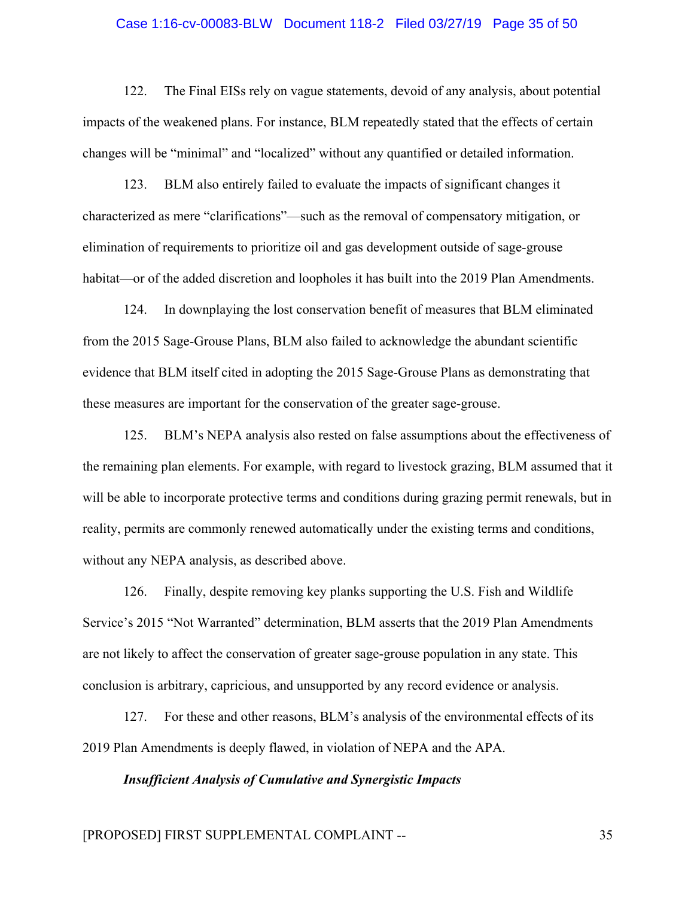#### Case 1:16-cv-00083-BLW Document 118-2 Filed 03/27/19 Page 35 of 50

122. The Final EISs rely on vague statements, devoid of any analysis, about potential impacts of the weakened plans. For instance, BLM repeatedly stated that the effects of certain changes will be "minimal" and "localized" without any quantified or detailed information.

123. BLM also entirely failed to evaluate the impacts of significant changes it characterized as mere "clarifications"—such as the removal of compensatory mitigation, or elimination of requirements to prioritize oil and gas development outside of sage-grouse habitat—or of the added discretion and loopholes it has built into the 2019 Plan Amendments.

124. In downplaying the lost conservation benefit of measures that BLM eliminated from the 2015 Sage-Grouse Plans, BLM also failed to acknowledge the abundant scientific evidence that BLM itself cited in adopting the 2015 Sage-Grouse Plans as demonstrating that these measures are important for the conservation of the greater sage-grouse.

125. BLM's NEPA analysis also rested on false assumptions about the effectiveness of the remaining plan elements. For example, with regard to livestock grazing, BLM assumed that it will be able to incorporate protective terms and conditions during grazing permit renewals, but in reality, permits are commonly renewed automatically under the existing terms and conditions, without any NEPA analysis, as described above.

126. Finally, despite removing key planks supporting the U.S. Fish and Wildlife Service's 2015 "Not Warranted" determination, BLM asserts that the 2019 Plan Amendments are not likely to affect the conservation of greater sage-grouse population in any state. This conclusion is arbitrary, capricious, and unsupported by any record evidence or analysis.

127. For these and other reasons, BLM's analysis of the environmental effects of its 2019 Plan Amendments is deeply flawed, in violation of NEPA and the APA.

*Insufficient Analysis of Cumulative and Synergistic Impacts*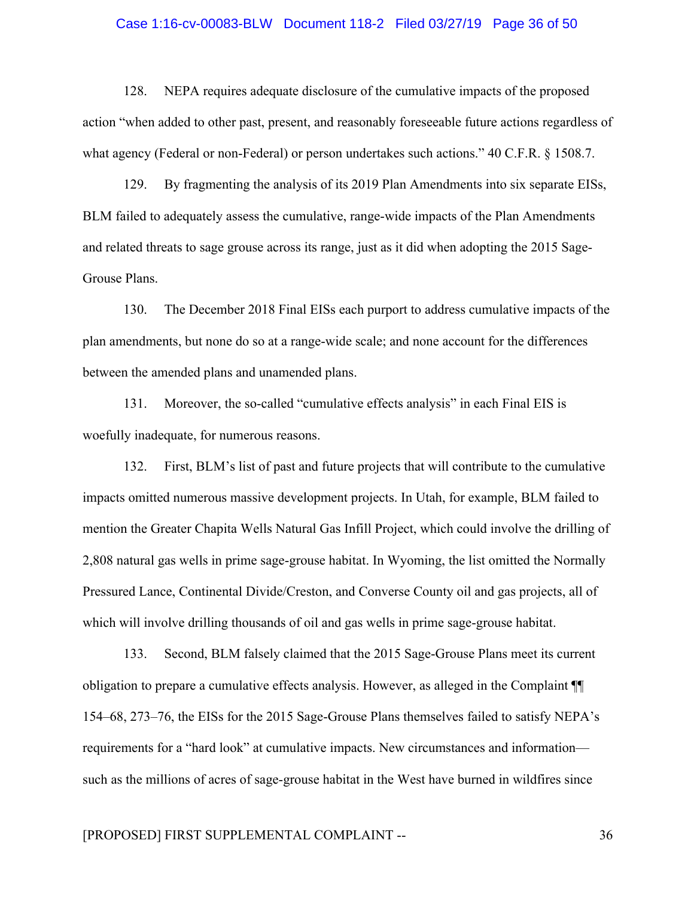#### Case 1:16-cv-00083-BLW Document 118-2 Filed 03/27/19 Page 36 of 50

128. NEPA requires adequate disclosure of the cumulative impacts of the proposed action "when added to other past, present, and reasonably foreseeable future actions regardless of what agency (Federal or non-Federal) or person undertakes such actions." 40 C.F.R. § 1508.7.

129. By fragmenting the analysis of its 2019 Plan Amendments into six separate EISs, BLM failed to adequately assess the cumulative, range-wide impacts of the Plan Amendments and related threats to sage grouse across its range, just as it did when adopting the 2015 Sage-Grouse Plans.

130. The December 2018 Final EISs each purport to address cumulative impacts of the plan amendments, but none do so at a range-wide scale; and none account for the differences between the amended plans and unamended plans.

131. Moreover, the so-called "cumulative effects analysis" in each Final EIS is woefully inadequate, for numerous reasons.

132. First, BLM's list of past and future projects that will contribute to the cumulative impacts omitted numerous massive development projects. In Utah, for example, BLM failed to mention the Greater Chapita Wells Natural Gas Infill Project, which could involve the drilling of 2,808 natural gas wells in prime sage-grouse habitat. In Wyoming, the list omitted the Normally Pressured Lance, Continental Divide/Creston, and Converse County oil and gas projects, all of which will involve drilling thousands of oil and gas wells in prime sage-grouse habitat.

133. Second, BLM falsely claimed that the 2015 Sage-Grouse Plans meet its current obligation to prepare a cumulative effects analysis. However, as alleged in the Complaint ¶¶ 154–68, 273–76, the EISs for the 2015 Sage-Grouse Plans themselves failed to satisfy NEPA's requirements for a "hard look" at cumulative impacts. New circumstances and information such as the millions of acres of sage-grouse habitat in the West have burned in wildfires since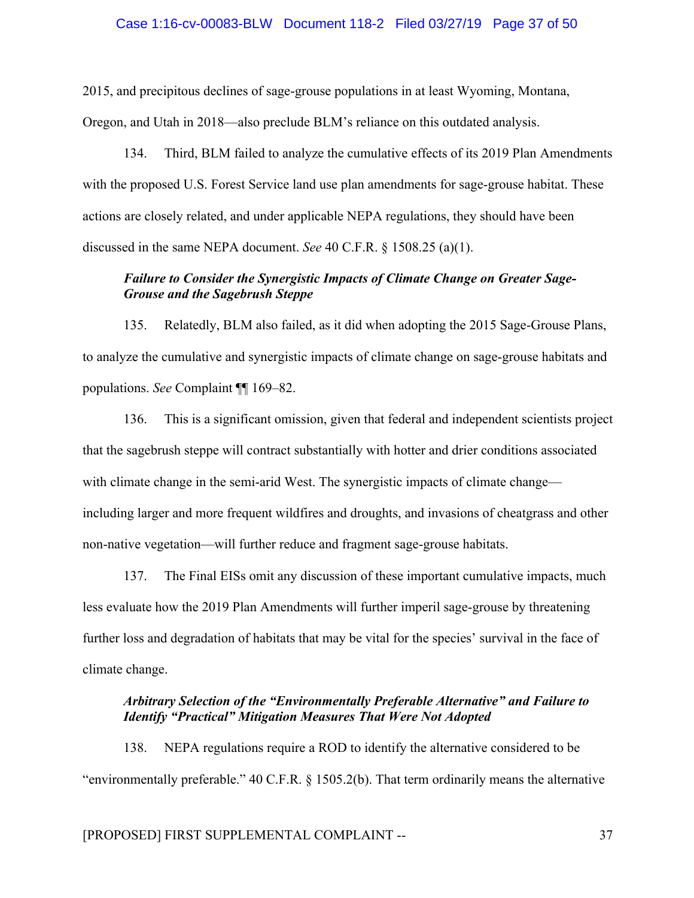### Case 1:16-cv-00083-BLW Document 118-2 Filed 03/27/19 Page 37 of 50

2015, and precipitous declines of sage-grouse populations in at least Wyoming, Montana,

Oregon, and Utah in 2018—also preclude BLM's reliance on this outdated analysis.

134. Third, BLM failed to analyze the cumulative effects of its 2019 Plan Amendments with the proposed U.S. Forest Service land use plan amendments for sage-grouse habitat. These actions are closely related, and under applicable NEPA regulations, they should have been discussed in the same NEPA document. *See* 40 C.F.R. § 1508.25 (a)(1).

## *Failure to Consider the Synergistic Impacts of Climate Change on Greater Sage-Grouse and the Sagebrush Steppe*

135. Relatedly, BLM also failed, as it did when adopting the 2015 Sage-Grouse Plans, to analyze the cumulative and synergistic impacts of climate change on sage-grouse habitats and populations. *See* Complaint ¶¶ 169–82.

136. This is a significant omission, given that federal and independent scientists project that the sagebrush steppe will contract substantially with hotter and drier conditions associated with climate change in the semi-arid West. The synergistic impacts of climate change including larger and more frequent wildfires and droughts, and invasions of cheatgrass and other non-native vegetation—will further reduce and fragment sage-grouse habitats.

137. The Final EISs omit any discussion of these important cumulative impacts, much less evaluate how the 2019 Plan Amendments will further imperil sage-grouse by threatening further loss and degradation of habitats that may be vital for the species' survival in the face of climate change.

# *Arbitrary Selection of the "Environmentally Preferable Alternative" and Failure to Identify "Practical" Mitigation Measures That Were Not Adopted*

138. NEPA regulations require a ROD to identify the alternative considered to be "environmentally preferable." 40 C.F.R. § 1505.2(b). That term ordinarily means the alternative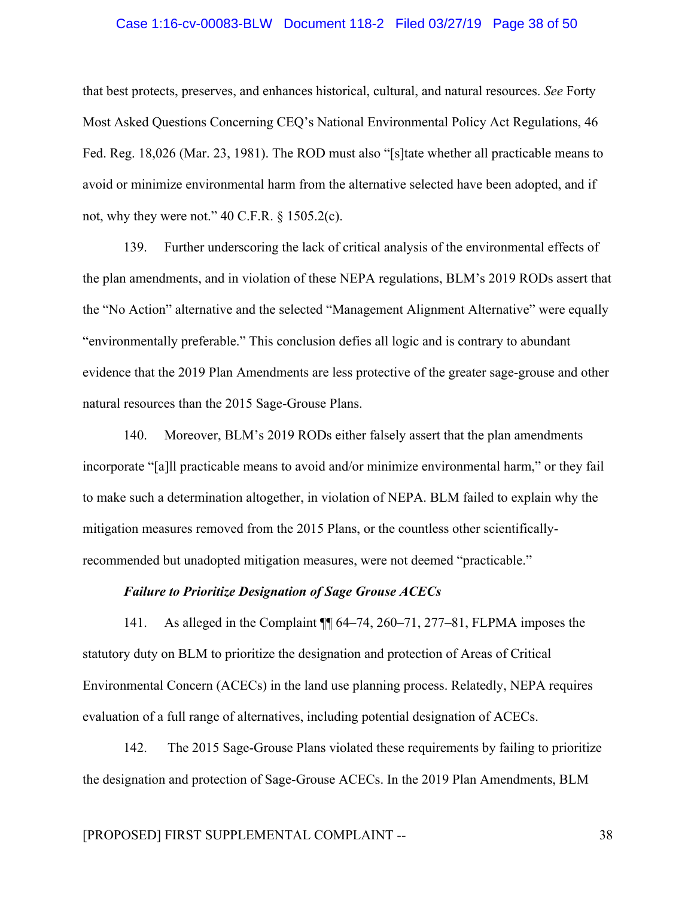#### Case 1:16-cv-00083-BLW Document 118-2 Filed 03/27/19 Page 38 of 50

that best protects, preserves, and enhances historical, cultural, and natural resources. *See* Forty Most Asked Questions Concerning CEQ's National Environmental Policy Act Regulations, 46 Fed. Reg. 18,026 (Mar. 23, 1981). The ROD must also "[s]tate whether all practicable means to avoid or minimize environmental harm from the alternative selected have been adopted, and if not, why they were not."  $40$  C.F.R.  $\S$  1505.2(c).

139. Further underscoring the lack of critical analysis of the environmental effects of the plan amendments, and in violation of these NEPA regulations, BLM's 2019 RODs assert that the "No Action" alternative and the selected "Management Alignment Alternative" were equally "environmentally preferable." This conclusion defies all logic and is contrary to abundant evidence that the 2019 Plan Amendments are less protective of the greater sage-grouse and other natural resources than the 2015 Sage-Grouse Plans.

140. Moreover, BLM's 2019 RODs either falsely assert that the plan amendments incorporate "[a]ll practicable means to avoid and/or minimize environmental harm," or they fail to make such a determination altogether, in violation of NEPA. BLM failed to explain why the mitigation measures removed from the 2015 Plans, or the countless other scientificallyrecommended but unadopted mitigation measures, were not deemed "practicable."

### *Failure to Prioritize Designation of Sage Grouse ACECs*

141. As alleged in the Complaint ¶¶ 64–74, 260–71, 277–81, FLPMA imposes the statutory duty on BLM to prioritize the designation and protection of Areas of Critical Environmental Concern (ACECs) in the land use planning process. Relatedly, NEPA requires evaluation of a full range of alternatives, including potential designation of ACECs.

142. The 2015 Sage-Grouse Plans violated these requirements by failing to prioritize the designation and protection of Sage-Grouse ACECs. In the 2019 Plan Amendments, BLM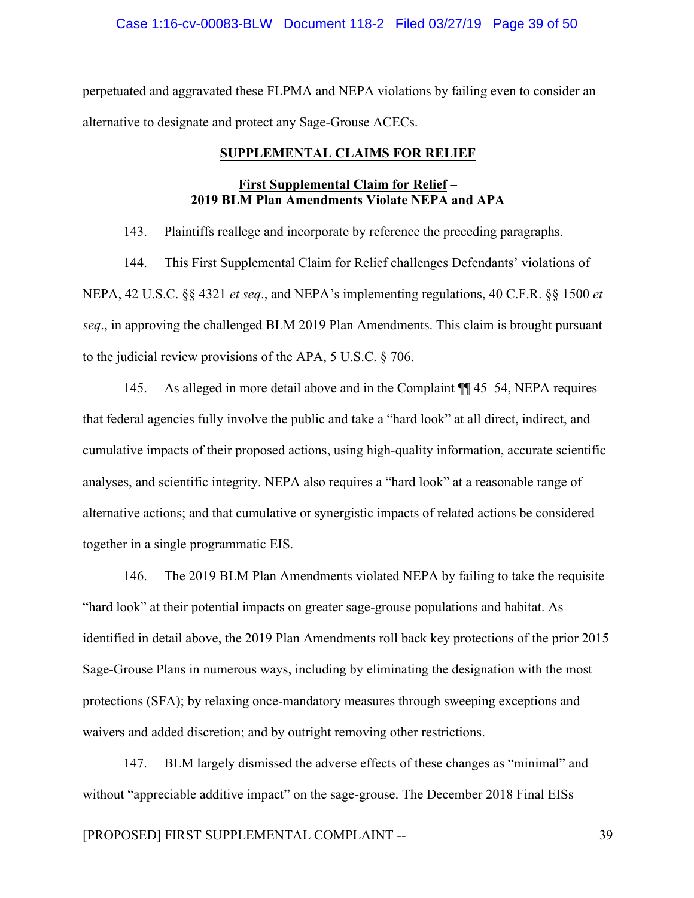## Case 1:16-cv-00083-BLW Document 118-2 Filed 03/27/19 Page 39 of 50

perpetuated and aggravated these FLPMA and NEPA violations by failing even to consider an alternative to designate and protect any Sage-Grouse ACECs.

#### **SUPPLEMENTAL CLAIMS FOR RELIEF**

## **First Supplemental Claim for Relief – 2019 BLM Plan Amendments Violate NEPA and APA**

143. Plaintiffs reallege and incorporate by reference the preceding paragraphs.

144. This First Supplemental Claim for Relief challenges Defendants' violations of NEPA, 42 U.S.C. §§ 4321 *et seq*., and NEPA's implementing regulations, 40 C.F.R. §§ 1500 *et seq*., in approving the challenged BLM 2019 Plan Amendments. This claim is brought pursuant to the judicial review provisions of the APA, 5 U.S.C. § 706.

145. As alleged in more detail above and in the Complaint ¶¶ 45–54, NEPA requires that federal agencies fully involve the public and take a "hard look" at all direct, indirect, and cumulative impacts of their proposed actions, using high-quality information, accurate scientific analyses, and scientific integrity. NEPA also requires a "hard look" at a reasonable range of alternative actions; and that cumulative or synergistic impacts of related actions be considered together in a single programmatic EIS.

146. The 2019 BLM Plan Amendments violated NEPA by failing to take the requisite "hard look" at their potential impacts on greater sage-grouse populations and habitat. As identified in detail above, the 2019 Plan Amendments roll back key protections of the prior 2015 Sage-Grouse Plans in numerous ways, including by eliminating the designation with the most protections (SFA); by relaxing once-mandatory measures through sweeping exceptions and waivers and added discretion; and by outright removing other restrictions.

147. BLM largely dismissed the adverse effects of these changes as "minimal" and without "appreciable additive impact" on the sage-grouse. The December 2018 Final EISs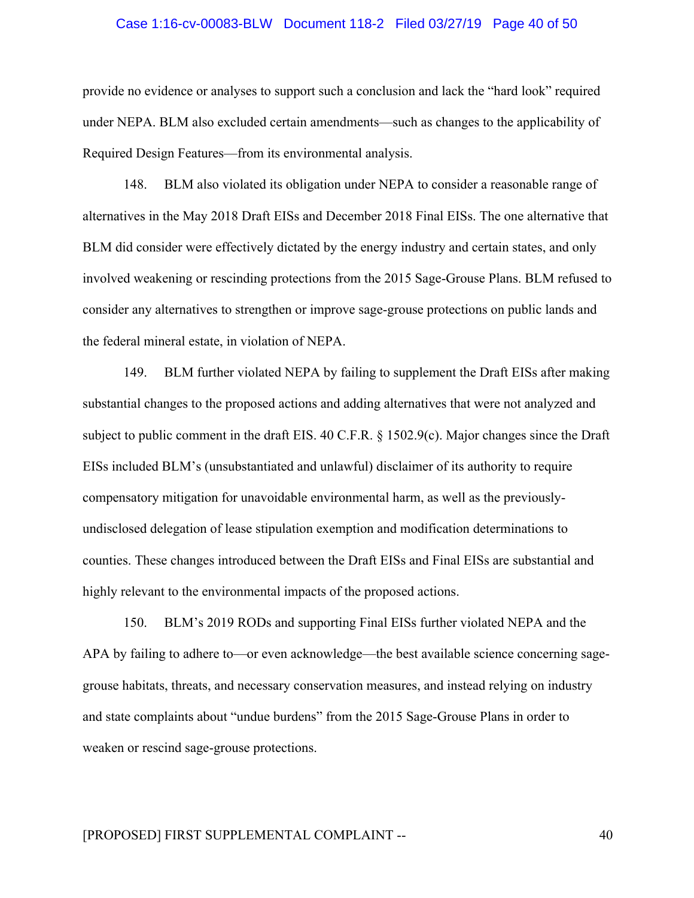#### Case 1:16-cv-00083-BLW Document 118-2 Filed 03/27/19 Page 40 of 50

provide no evidence or analyses to support such a conclusion and lack the "hard look" required under NEPA. BLM also excluded certain amendments—such as changes to the applicability of Required Design Features—from its environmental analysis.

148. BLM also violated its obligation under NEPA to consider a reasonable range of alternatives in the May 2018 Draft EISs and December 2018 Final EISs. The one alternative that BLM did consider were effectively dictated by the energy industry and certain states, and only involved weakening or rescinding protections from the 2015 Sage-Grouse Plans. BLM refused to consider any alternatives to strengthen or improve sage-grouse protections on public lands and the federal mineral estate, in violation of NEPA.

149. BLM further violated NEPA by failing to supplement the Draft EISs after making substantial changes to the proposed actions and adding alternatives that were not analyzed and subject to public comment in the draft EIS. 40 C.F.R. § 1502.9(c). Major changes since the Draft EISs included BLM's (unsubstantiated and unlawful) disclaimer of its authority to require compensatory mitigation for unavoidable environmental harm, as well as the previouslyundisclosed delegation of lease stipulation exemption and modification determinations to counties. These changes introduced between the Draft EISs and Final EISs are substantial and highly relevant to the environmental impacts of the proposed actions.

150. BLM's 2019 RODs and supporting Final EISs further violated NEPA and the APA by failing to adhere to—or even acknowledge—the best available science concerning sagegrouse habitats, threats, and necessary conservation measures, and instead relying on industry and state complaints about "undue burdens" from the 2015 Sage-Grouse Plans in order to weaken or rescind sage-grouse protections.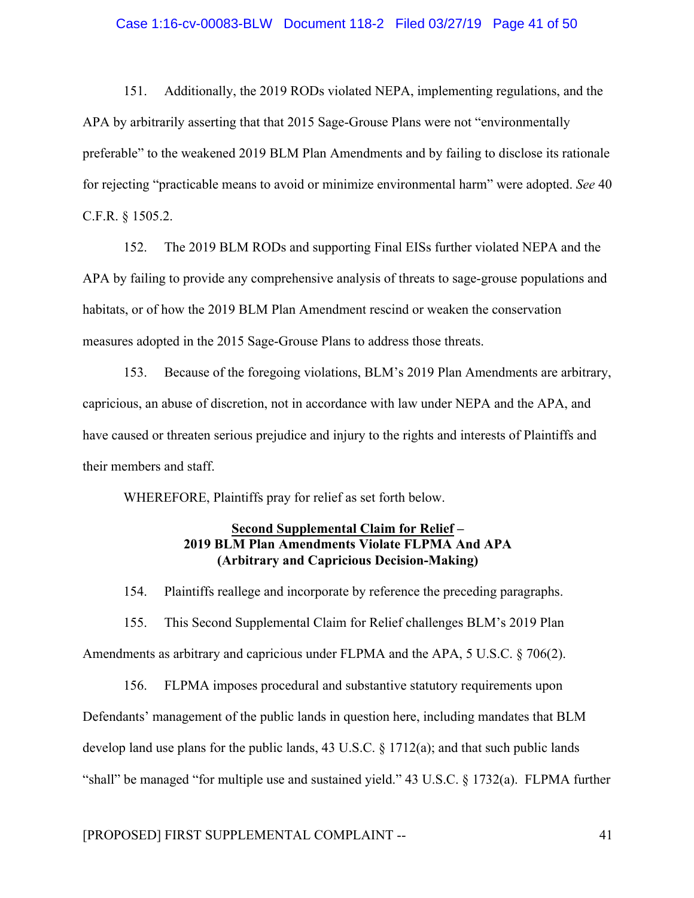#### Case 1:16-cv-00083-BLW Document 118-2 Filed 03/27/19 Page 41 of 50

151. Additionally, the 2019 RODs violated NEPA, implementing regulations, and the APA by arbitrarily asserting that that 2015 Sage-Grouse Plans were not "environmentally preferable" to the weakened 2019 BLM Plan Amendments and by failing to disclose its rationale for rejecting "practicable means to avoid or minimize environmental harm" were adopted. *See* 40 C.F.R. § 1505.2.

152. The 2019 BLM RODs and supporting Final EISs further violated NEPA and the APA by failing to provide any comprehensive analysis of threats to sage-grouse populations and habitats, or of how the 2019 BLM Plan Amendment rescind or weaken the conservation measures adopted in the 2015 Sage-Grouse Plans to address those threats.

153. Because of the foregoing violations, BLM's 2019 Plan Amendments are arbitrary, capricious, an abuse of discretion, not in accordance with law under NEPA and the APA, and have caused or threaten serious prejudice and injury to the rights and interests of Plaintiffs and their members and staff.

WHEREFORE, Plaintiffs pray for relief as set forth below.

## **Second Supplemental Claim for Relief – 2019 BLM Plan Amendments Violate FLPMA And APA (Arbitrary and Capricious Decision-Making)**

154. Plaintiffs reallege and incorporate by reference the preceding paragraphs.

155. This Second Supplemental Claim for Relief challenges BLM's 2019 Plan Amendments as arbitrary and capricious under FLPMA and the APA, 5 U.S.C. § 706(2).

156. FLPMA imposes procedural and substantive statutory requirements upon Defendants' management of the public lands in question here, including mandates that BLM develop land use plans for the public lands, 43 U.S.C. § 1712(a); and that such public lands "shall" be managed "for multiple use and sustained yield." 43 U.S.C. § 1732(a). FLPMA further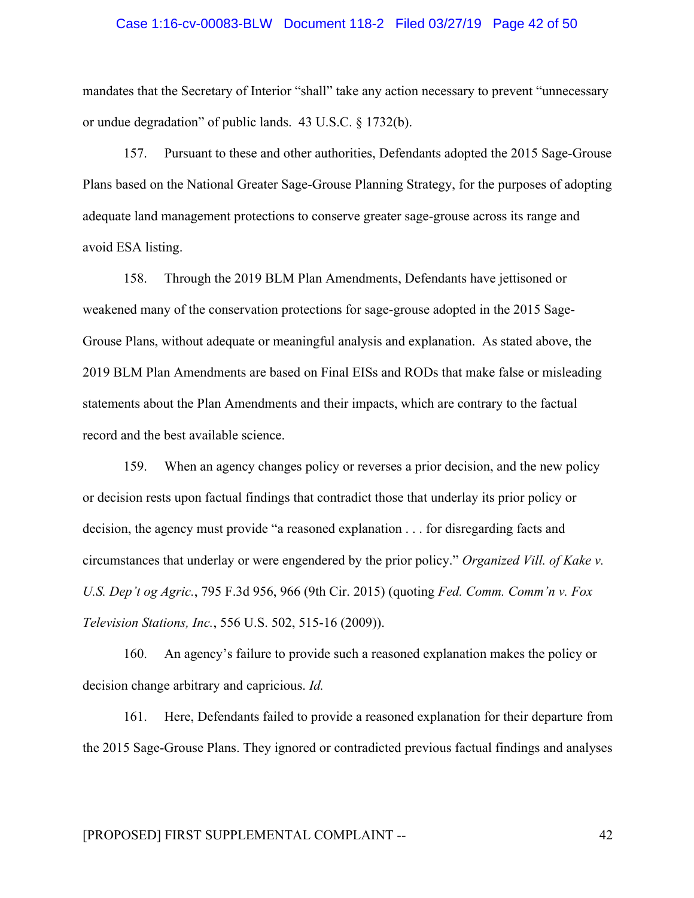#### Case 1:16-cv-00083-BLW Document 118-2 Filed 03/27/19 Page 42 of 50

mandates that the Secretary of Interior "shall" take any action necessary to prevent "unnecessary or undue degradation" of public lands. 43 U.S.C. § 1732(b).

157. Pursuant to these and other authorities, Defendants adopted the 2015 Sage-Grouse Plans based on the National Greater Sage-Grouse Planning Strategy, for the purposes of adopting adequate land management protections to conserve greater sage-grouse across its range and avoid ESA listing.

158. Through the 2019 BLM Plan Amendments, Defendants have jettisoned or weakened many of the conservation protections for sage-grouse adopted in the 2015 Sage-Grouse Plans, without adequate or meaningful analysis and explanation. As stated above, the 2019 BLM Plan Amendments are based on Final EISs and RODs that make false or misleading statements about the Plan Amendments and their impacts, which are contrary to the factual record and the best available science.

159. When an agency changes policy or reverses a prior decision, and the new policy or decision rests upon factual findings that contradict those that underlay its prior policy or decision, the agency must provide "a reasoned explanation . . . for disregarding facts and circumstances that underlay or were engendered by the prior policy." *Organized Vill. of Kake v. U.S. Dep't og Agric.*, 795 F.3d 956, 966 (9th Cir. 2015) (quoting *Fed. Comm. Comm'n v. Fox Television Stations, Inc.*, 556 U.S. 502, 515-16 (2009)).

160. An agency's failure to provide such a reasoned explanation makes the policy or decision change arbitrary and capricious. *Id.*

161. Here, Defendants failed to provide a reasoned explanation for their departure from the 2015 Sage-Grouse Plans. They ignored or contradicted previous factual findings and analyses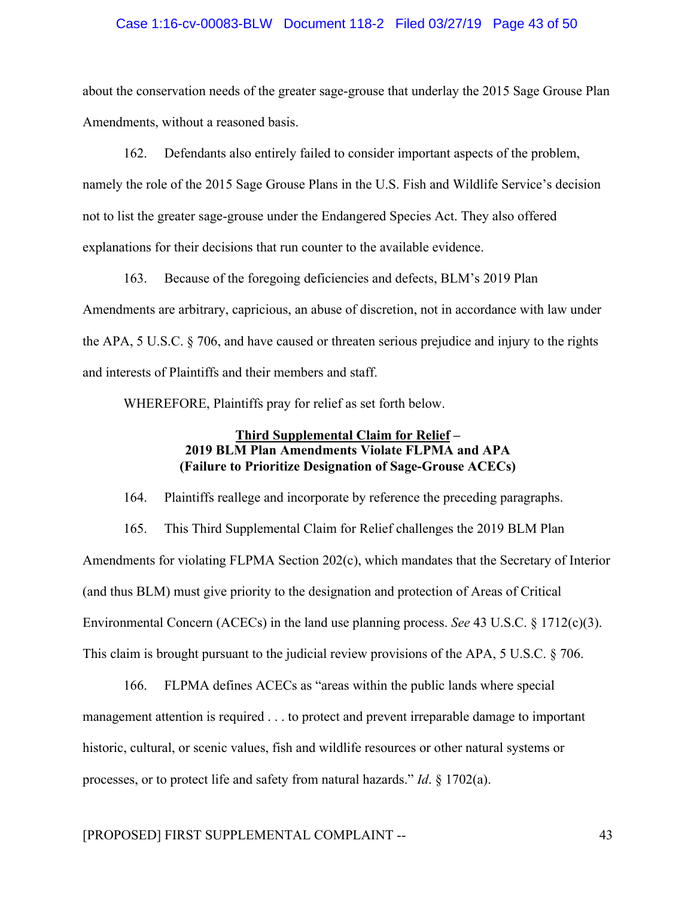## Case 1:16-cv-00083-BLW Document 118-2 Filed 03/27/19 Page 43 of 50

about the conservation needs of the greater sage-grouse that underlay the 2015 Sage Grouse Plan Amendments, without a reasoned basis.

162. Defendants also entirely failed to consider important aspects of the problem, namely the role of the 2015 Sage Grouse Plans in the U.S. Fish and Wildlife Service's decision not to list the greater sage-grouse under the Endangered Species Act. They also offered explanations for their decisions that run counter to the available evidence.

163. Because of the foregoing deficiencies and defects, BLM's 2019 Plan Amendments are arbitrary, capricious, an abuse of discretion, not in accordance with law under the APA, 5 U.S.C. § 706, and have caused or threaten serious prejudice and injury to the rights and interests of Plaintiffs and their members and staff.

WHEREFORE, Plaintiffs pray for relief as set forth below.

## **Third Supplemental Claim for Relief – 2019 BLM Plan Amendments Violate FLPMA and APA (Failure to Prioritize Designation of Sage-Grouse ACECs)**

164. Plaintiffs reallege and incorporate by reference the preceding paragraphs.

165. This Third Supplemental Claim for Relief challenges the 2019 BLM Plan Amendments for violating FLPMA Section 202(c), which mandates that the Secretary of Interior (and thus BLM) must give priority to the designation and protection of Areas of Critical Environmental Concern (ACECs) in the land use planning process. *See* 43 U.S.C. § 1712(c)(3). This claim is brought pursuant to the judicial review provisions of the APA, 5 U.S.C. § 706.

166. FLPMA defines ACECs as "areas within the public lands where special management attention is required . . . to protect and prevent irreparable damage to important historic, cultural, or scenic values, fish and wildlife resources or other natural systems or processes, or to protect life and safety from natural hazards." *Id*. § 1702(a).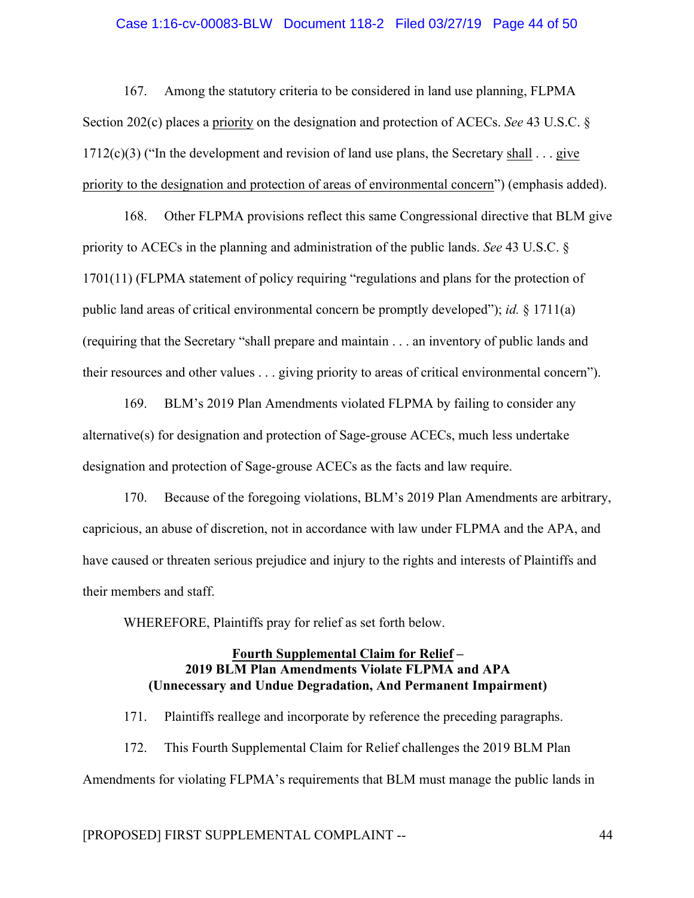#### Case 1:16-cv-00083-BLW Document 118-2 Filed 03/27/19 Page 44 of 50

167. Among the statutory criteria to be considered in land use planning, FLPMA Section 202(c) places a priority on the designation and protection of ACECs. *See* 43 U.S.C. §  $1712(c)(3)$  ("In the development and revision of land use plans, the Secretary shall . . . give priority to the designation and protection of areas of environmental concern") (emphasis added).

168. Other FLPMA provisions reflect this same Congressional directive that BLM give priority to ACECs in the planning and administration of the public lands. *See* 43 U.S.C. § 1701(11) (FLPMA statement of policy requiring "regulations and plans for the protection of public land areas of critical environmental concern be promptly developed"); *id.* § 1711(a) (requiring that the Secretary "shall prepare and maintain . . . an inventory of public lands and their resources and other values . . . giving priority to areas of critical environmental concern").

169. BLM's 2019 Plan Amendments violated FLPMA by failing to consider any alternative(s) for designation and protection of Sage-grouse ACECs, much less undertake designation and protection of Sage-grouse ACECs as the facts and law require.

170. Because of the foregoing violations, BLM's 2019 Plan Amendments are arbitrary, capricious, an abuse of discretion, not in accordance with law under FLPMA and the APA, and have caused or threaten serious prejudice and injury to the rights and interests of Plaintiffs and their members and staff.

WHEREFORE, Plaintiffs pray for relief as set forth below.

## **Fourth Supplemental Claim for Relief – 2019 BLM Plan Amendments Violate FLPMA and APA (Unnecessary and Undue Degradation, And Permanent Impairment)**

171. Plaintiffs reallege and incorporate by reference the preceding paragraphs. 172. This Fourth Supplemental Claim for Relief challenges the 2019 BLM Plan Amendments for violating FLPMA's requirements that BLM must manage the public lands in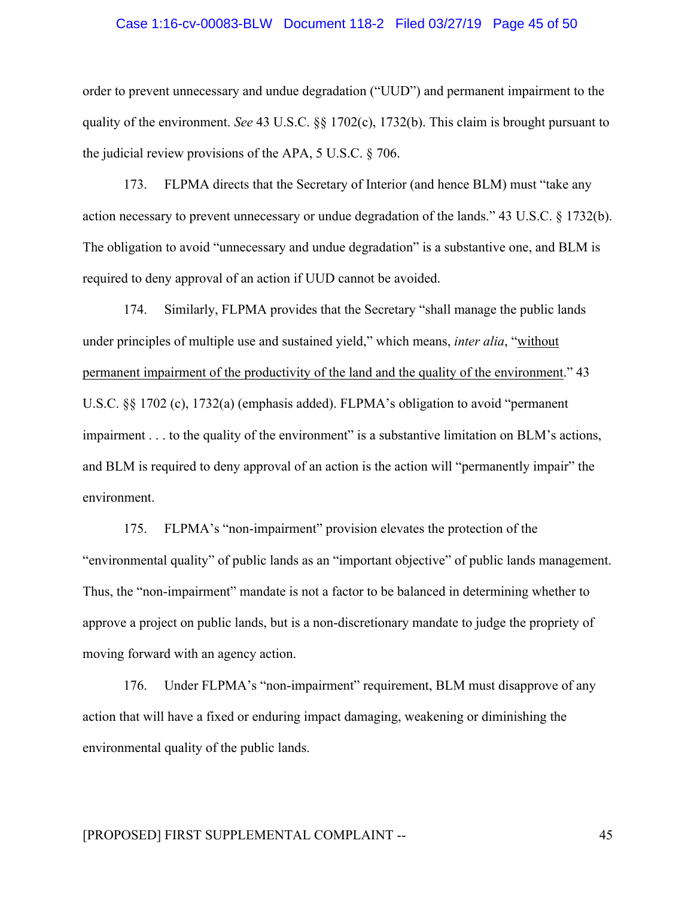#### Case 1:16-cv-00083-BLW Document 118-2 Filed 03/27/19 Page 45 of 50

order to prevent unnecessary and undue degradation ("UUD") and permanent impairment to the quality of the environment. *See* 43 U.S.C. §§ 1702(c), 1732(b). This claim is brought pursuant to the judicial review provisions of the APA, 5 U.S.C. § 706.

173. FLPMA directs that the Secretary of Interior (and hence BLM) must "take any action necessary to prevent unnecessary or undue degradation of the lands." 43 U.S.C. § 1732(b). The obligation to avoid "unnecessary and undue degradation" is a substantive one, and BLM is required to deny approval of an action if UUD cannot be avoided.

174. Similarly, FLPMA provides that the Secretary "shall manage the public lands under principles of multiple use and sustained yield," which means, *inter alia*, "without permanent impairment of the productivity of the land and the quality of the environment." 43 U.S.C. §§ 1702 (c), 1732(a) (emphasis added). FLPMA's obligation to avoid "permanent impairment . . . to the quality of the environment" is a substantive limitation on BLM's actions, and BLM is required to deny approval of an action is the action will "permanently impair" the environment.

175. FLPMA's "non-impairment" provision elevates the protection of the "environmental quality" of public lands as an "important objective" of public lands management. Thus, the "non-impairment" mandate is not a factor to be balanced in determining whether to approve a project on public lands, but is a non-discretionary mandate to judge the propriety of moving forward with an agency action.

176. Under FLPMA's "non-impairment" requirement, BLM must disapprove of any action that will have a fixed or enduring impact damaging, weakening or diminishing the environmental quality of the public lands.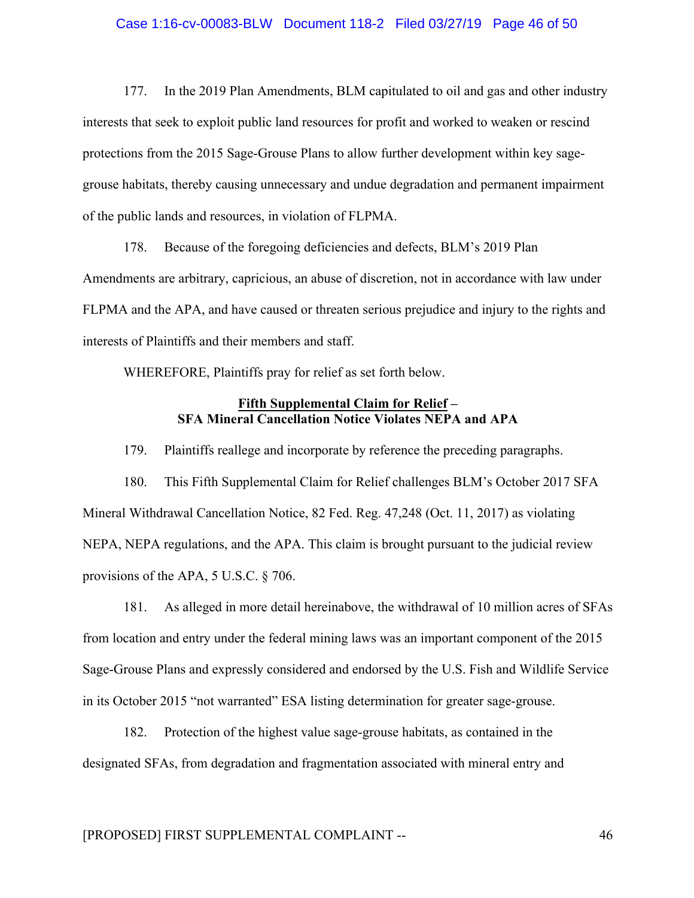#### Case 1:16-cv-00083-BLW Document 118-2 Filed 03/27/19 Page 46 of 50

177. In the 2019 Plan Amendments, BLM capitulated to oil and gas and other industry interests that seek to exploit public land resources for profit and worked to weaken or rescind protections from the 2015 Sage-Grouse Plans to allow further development within key sagegrouse habitats, thereby causing unnecessary and undue degradation and permanent impairment of the public lands and resources, in violation of FLPMA.

178. Because of the foregoing deficiencies and defects, BLM's 2019 Plan Amendments are arbitrary, capricious, an abuse of discretion, not in accordance with law under FLPMA and the APA, and have caused or threaten serious prejudice and injury to the rights and interests of Plaintiffs and their members and staff.

WHEREFORE, Plaintiffs pray for relief as set forth below.

## **Fifth Supplemental Claim for Relief – SFA Mineral Cancellation Notice Violates NEPA and APA**

179. Plaintiffs reallege and incorporate by reference the preceding paragraphs.

180. This Fifth Supplemental Claim for Relief challenges BLM's October 2017 SFA Mineral Withdrawal Cancellation Notice, 82 Fed. Reg. 47,248 (Oct. 11, 2017) as violating NEPA, NEPA regulations, and the APA. This claim is brought pursuant to the judicial review provisions of the APA, 5 U.S.C. § 706.

181. As alleged in more detail hereinabove, the withdrawal of 10 million acres of SFAs from location and entry under the federal mining laws was an important component of the 2015 Sage-Grouse Plans and expressly considered and endorsed by the U.S. Fish and Wildlife Service in its October 2015 "not warranted" ESA listing determination for greater sage-grouse.

182. Protection of the highest value sage-grouse habitats, as contained in the designated SFAs, from degradation and fragmentation associated with mineral entry and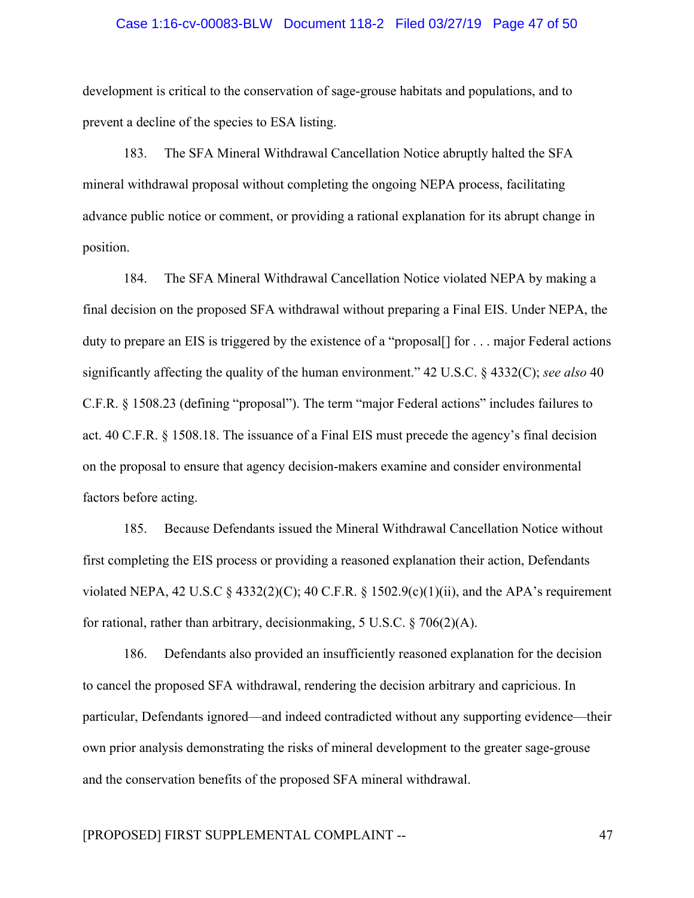#### Case 1:16-cv-00083-BLW Document 118-2 Filed 03/27/19 Page 47 of 50

development is critical to the conservation of sage-grouse habitats and populations, and to prevent a decline of the species to ESA listing.

183. The SFA Mineral Withdrawal Cancellation Notice abruptly halted the SFA mineral withdrawal proposal without completing the ongoing NEPA process, facilitating advance public notice or comment, or providing a rational explanation for its abrupt change in position.

184. The SFA Mineral Withdrawal Cancellation Notice violated NEPA by making a final decision on the proposed SFA withdrawal without preparing a Final EIS. Under NEPA, the duty to prepare an EIS is triggered by the existence of a "proposal<sup>[]</sup> for . . . major Federal actions significantly affecting the quality of the human environment." 42 U.S.C. § 4332(C); *see also* 40 C.F.R. § 1508.23 (defining "proposal"). The term "major Federal actions" includes failures to act. 40 C.F.R. § 1508.18. The issuance of a Final EIS must precede the agency's final decision on the proposal to ensure that agency decision-makers examine and consider environmental factors before acting.

185. Because Defendants issued the Mineral Withdrawal Cancellation Notice without first completing the EIS process or providing a reasoned explanation their action, Defendants violated NEPA, 42 U.S.C  $\&$  4332(2)(C); 40 C.F.R.  $\&$  1502.9(c)(1)(ii), and the APA's requirement for rational, rather than arbitrary, decision making,  $5 \text{ U.S.C.} \$   $706(2)(\text{A})$ .

186. Defendants also provided an insufficiently reasoned explanation for the decision to cancel the proposed SFA withdrawal, rendering the decision arbitrary and capricious. In particular, Defendants ignored—and indeed contradicted without any supporting evidence—their own prior analysis demonstrating the risks of mineral development to the greater sage-grouse and the conservation benefits of the proposed SFA mineral withdrawal.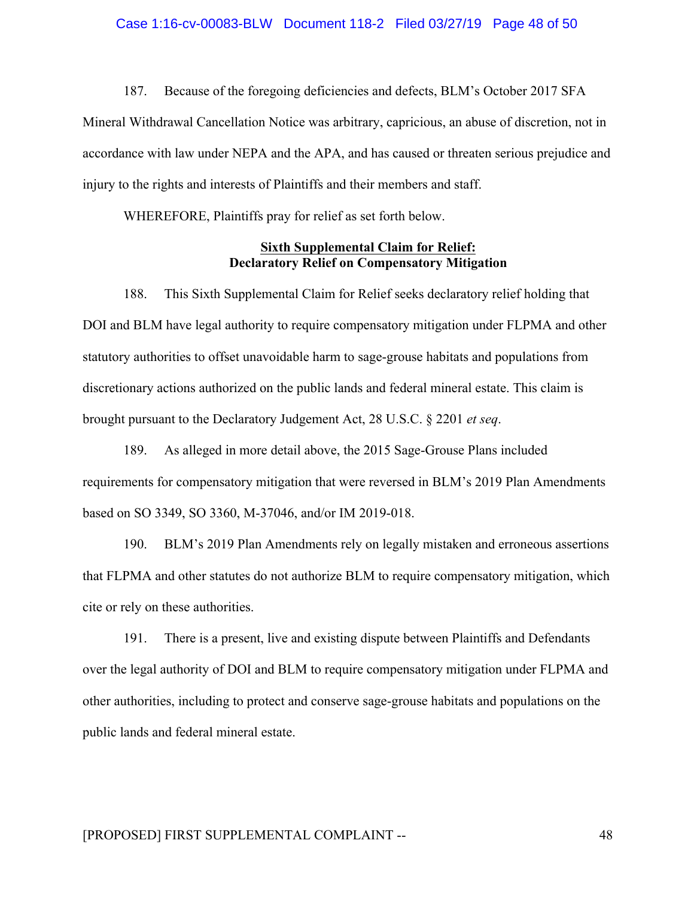187. Because of the foregoing deficiencies and defects, BLM's October 2017 SFA

Mineral Withdrawal Cancellation Notice was arbitrary, capricious, an abuse of discretion, not in accordance with law under NEPA and the APA, and has caused or threaten serious prejudice and injury to the rights and interests of Plaintiffs and their members and staff.

WHEREFORE, Plaintiffs pray for relief as set forth below.

## **Sixth Supplemental Claim for Relief: Declaratory Relief on Compensatory Mitigation**

188. This Sixth Supplemental Claim for Relief seeks declaratory relief holding that DOI and BLM have legal authority to require compensatory mitigation under FLPMA and other statutory authorities to offset unavoidable harm to sage-grouse habitats and populations from discretionary actions authorized on the public lands and federal mineral estate. This claim is brought pursuant to the Declaratory Judgement Act, 28 U.S.C. § 2201 *et seq*.

189. As alleged in more detail above, the 2015 Sage-Grouse Plans included requirements for compensatory mitigation that were reversed in BLM's 2019 Plan Amendments based on SO 3349, SO 3360, M-37046, and/or IM 2019-018.

190. BLM's 2019 Plan Amendments rely on legally mistaken and erroneous assertions that FLPMA and other statutes do not authorize BLM to require compensatory mitigation, which cite or rely on these authorities.

191. There is a present, live and existing dispute between Plaintiffs and Defendants over the legal authority of DOI and BLM to require compensatory mitigation under FLPMA and other authorities, including to protect and conserve sage-grouse habitats and populations on the public lands and federal mineral estate.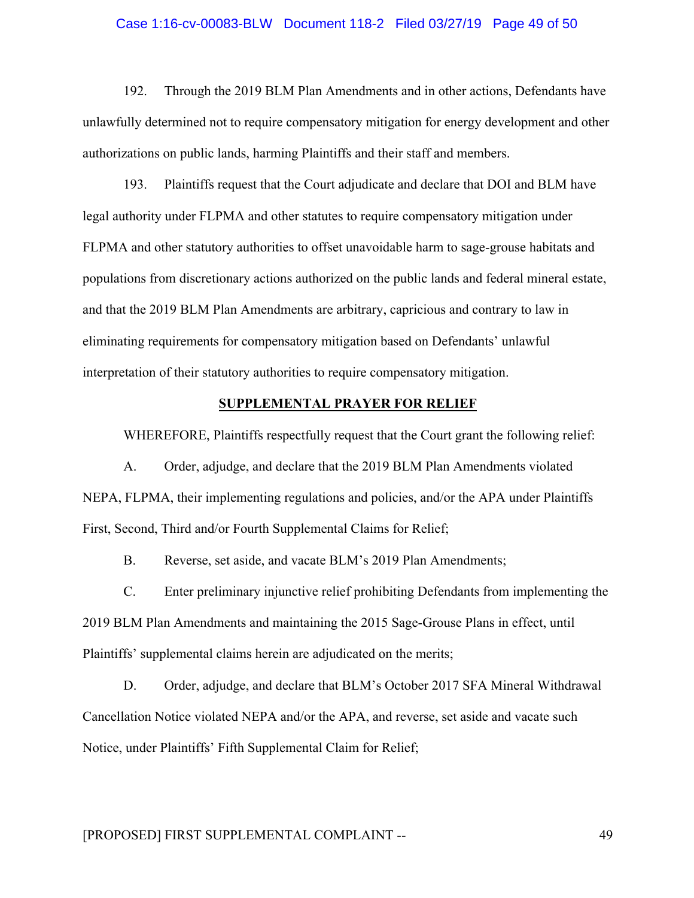#### Case 1:16-cv-00083-BLW Document 118-2 Filed 03/27/19 Page 49 of 50

192. Through the 2019 BLM Plan Amendments and in other actions, Defendants have unlawfully determined not to require compensatory mitigation for energy development and other authorizations on public lands, harming Plaintiffs and their staff and members.

193. Plaintiffs request that the Court adjudicate and declare that DOI and BLM have legal authority under FLPMA and other statutes to require compensatory mitigation under FLPMA and other statutory authorities to offset unavoidable harm to sage-grouse habitats and populations from discretionary actions authorized on the public lands and federal mineral estate, and that the 2019 BLM Plan Amendments are arbitrary, capricious and contrary to law in eliminating requirements for compensatory mitigation based on Defendants' unlawful interpretation of their statutory authorities to require compensatory mitigation.

## **SUPPLEMENTAL PRAYER FOR RELIEF**

WHEREFORE, Plaintiffs respectfully request that the Court grant the following relief:

A. Order, adjudge, and declare that the 2019 BLM Plan Amendments violated NEPA, FLPMA, their implementing regulations and policies, and/or the APA under Plaintiffs First, Second, Third and/or Fourth Supplemental Claims for Relief;

B. Reverse, set aside, and vacate BLM's 2019 Plan Amendments;

C. Enter preliminary injunctive relief prohibiting Defendants from implementing the 2019 BLM Plan Amendments and maintaining the 2015 Sage-Grouse Plans in effect, until Plaintiffs' supplemental claims herein are adjudicated on the merits;

D. Order, adjudge, and declare that BLM's October 2017 SFA Mineral Withdrawal Cancellation Notice violated NEPA and/or the APA, and reverse, set aside and vacate such Notice, under Plaintiffs' Fifth Supplemental Claim for Relief;